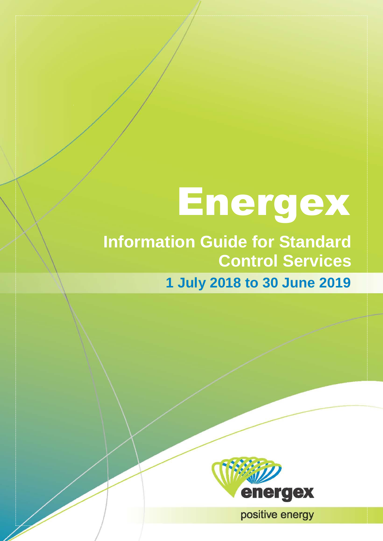# Energex

# **Information Guide for Standard Control Services**

 $\overline{\mathcal{A}}$ 

**1 July 2018 to 30 June 2019**



**11- Energy Pricing Pricing Information Contract Pricing Information Contract Pricing Information Contract Pricing International Pricing Internation Contract Pricing Internation Pricing Internation Pricing International Pr**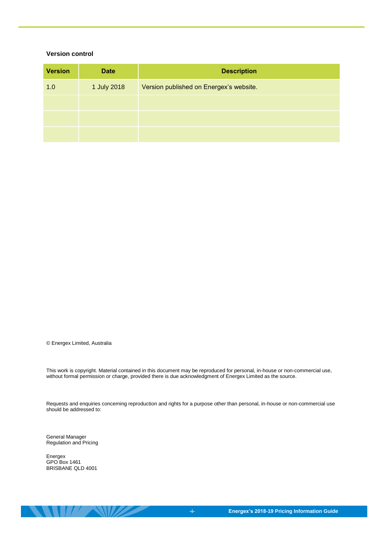#### **Version control**

| <b>Version</b> | <b>Date</b> | <b>Description</b>                      |
|----------------|-------------|-----------------------------------------|
| 1.0            | 1 July 2018 | Version published on Energex's website. |
|                |             |                                         |
|                |             |                                         |
|                |             |                                         |

© Energex Limited, Australia

This work is copyright. Material contained in this document may be reproduced for personal, in-house or non-commercial use, without formal permission or charge, provided there is due acknowledgment of Energex Limited as the source.

Requests and enquiries concerning reproduction and rights for a purpose other than personal, in-house or non-commercial use should be addressed to:

General Manager Regulation and Pricing

Energex GPO Box 1461 BRISBANE QLD 4001

 $\mathbf{U}$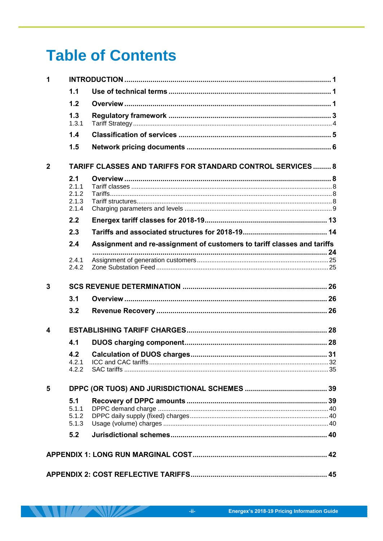# **Table of Contents**

| 1              |                                                |                                                                         |  |
|----------------|------------------------------------------------|-------------------------------------------------------------------------|--|
|                | 1.1                                            |                                                                         |  |
|                | 1.2                                            |                                                                         |  |
|                | 1.3<br>1.3.1                                   |                                                                         |  |
|                | 1.4                                            |                                                                         |  |
|                | 1.5                                            |                                                                         |  |
| $\overline{2}$ |                                                | <b>TARIFF CLASSES AND TARIFFS FOR STANDARD CONTROL SERVICES 8</b>       |  |
|                | 2.1<br>2.1.1<br>2.1.2<br>2.1.3<br>2.1.4<br>2.2 |                                                                         |  |
|                | 2.3                                            |                                                                         |  |
|                | 2.4                                            | Assignment and re-assignment of customers to tariff classes and tariffs |  |
|                | 2.4.1<br>2.4.2                                 |                                                                         |  |
| 3              |                                                |                                                                         |  |
|                | 3.1                                            |                                                                         |  |
|                | 3.2                                            |                                                                         |  |
| 4              |                                                |                                                                         |  |
|                | 4.1                                            |                                                                         |  |
|                | 4.2<br>4.2.2                                   |                                                                         |  |
| 5              |                                                |                                                                         |  |
|                | 5.1<br>5.1.1<br>5.1.2<br>5.1.3                 |                                                                         |  |
|                | 5.2                                            |                                                                         |  |
|                |                                                |                                                                         |  |
|                |                                                |                                                                         |  |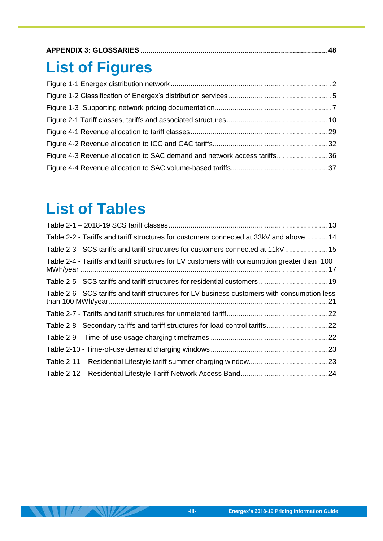|--|

# **List of Figures**

| Figure 4-3 Revenue allocation to SAC demand and network access tariffs 36 |  |
|---------------------------------------------------------------------------|--|
|                                                                           |  |

# **List of Tables**

| Table 2-2 - Tariffs and tariff structures for customers connected at 33kV and above  14       |  |
|-----------------------------------------------------------------------------------------------|--|
| Table 2-3 - SCS tariffs and tariff structures for customers connected at 11kV 15              |  |
| Table 2-4 - Tariffs and tariff structures for LV customers with consumption greater than 100  |  |
| Table 2-5 - SCS tariffs and tariff structures for residential customers  19                   |  |
| Table 2-6 - SCS tariffs and tariff structures for LV business customers with consumption less |  |
|                                                                                               |  |
| Table 2-8 - Secondary tariffs and tariff structures for load control tariffs 22               |  |
|                                                                                               |  |
|                                                                                               |  |
|                                                                                               |  |
|                                                                                               |  |
|                                                                                               |  |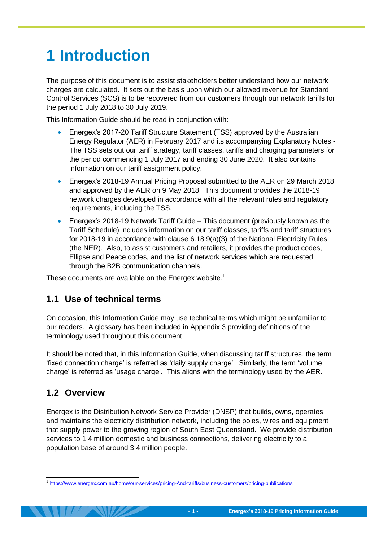# <span id="page-4-0"></span>**1 Introduction**

The purpose of this document is to assist stakeholders better understand how our network charges are calculated. It sets out the basis upon which our allowed revenue for Standard Control Services (SCS) is to be recovered from our customers through our network tariffs for the period 1 July 2018 to 30 July 2019.

This Information Guide should be read in conjunction with:

- Energex's 2017-20 Tariff Structure Statement (TSS) approved by the Australian Energy Regulator (AER) in February 2017 and its accompanying Explanatory Notes - The TSS sets out our tariff strategy, tariff classes, tariffs and charging parameters for the period commencing 1 July 2017 and ending 30 June 2020. It also contains information on our tariff assignment policy.
- Energex's 2018-19 Annual Pricing Proposal submitted to the AER on 29 March 2018 and approved by the AER on 9 May 2018. This document provides the 2018-19 network charges developed in accordance with all the relevant rules and regulatory requirements, including the TSS.
- Energex's 2018-19 Network Tariff Guide This document (previously known as the Tariff Schedule) includes information on our tariff classes, tariffs and tariff structures for 2018-19 in accordance with clause 6.18.9(a)(3) of the National Electricity Rules (the NER). Also, to assist customers and retailers, it provides the product codes, Ellipse and Peace codes, and the list of network services which are requested through the B2B communication channels.

These documents are available on the Energex website.<sup>1</sup>

### <span id="page-4-1"></span>**1.1 Use of technical terms**

On occasion, this Information Guide may use technical terms which might be unfamiliar to our readers. A glossary has been included in Appendix 3 providing definitions of the terminology used throughout this document.

It should be noted that, in this Information Guide, when discussing tariff structures, the term 'fixed connection charge' is referred as 'daily supply charge'. Similarly, the term 'volume charge' is referred as 'usage charge'. This aligns with the terminology used by the AER.

### <span id="page-4-2"></span>**1.2 Overview**

Energex is the Distribution Network Service Provider (DNSP) that builds, owns, operates and maintains the electricity distribution network, including the poles, wires and equipment that supply power to the growing region of South East Queensland. We provide distribution services to 1.4 million domestic and business connections, delivering electricity to a population base of around 3.4 million people.

<sup>-</sup>1 <https://www.energex.com.au/home/our-services/pricing-And-tariffs/business-customers/pricing-publications>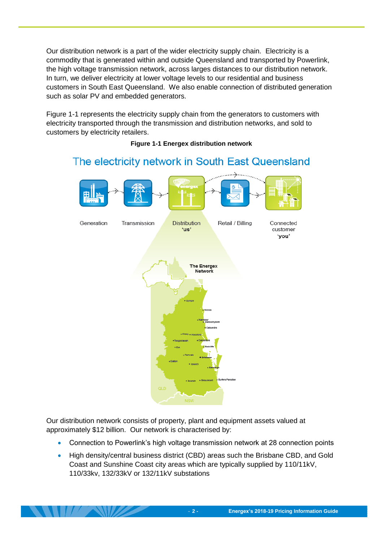Our distribution network is a part of the wider electricity supply chain. Electricity is a commodity that is generated within and outside Queensland and transported by Powerlink, the high voltage transmission network, across larges distances to our distribution network. In turn, we deliver electricity at lower voltage levels to our residential and business customers in South East Queensland. We also enable connection of distributed generation such as solar PV and embedded generators.

<span id="page-5-0"></span>[Figure 1-1](#page-5-0) represents the electricity supply chain from the generators to customers with electricity transported through the transmission and distribution networks, and sold to customers by electricity retailers.



#### **Figure 1-1 Energex distribution network**

# The electricity network in South East Queensland

Our distribution network consists of property, plant and equipment assets valued at approximately \$12 billion. Our network is characterised by:

- Connection to Powerlink's high voltage transmission network at 28 connection points
- High density/central business district (CBD) areas such the Brisbane CBD, and Gold Coast and Sunshine Coast city areas which are typically supplied by 110/11kV, 110/33kv, 132/33kV or 132/11kV substations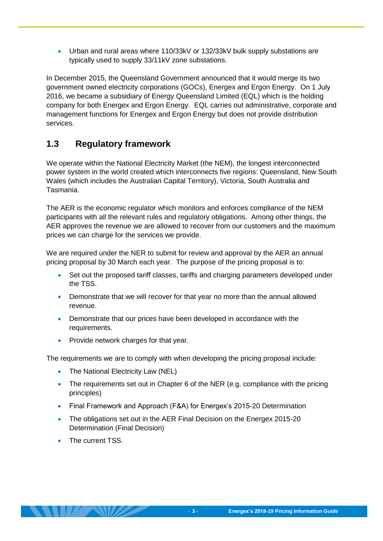Urban and rural areas where 110/33kV or 132/33kV bulk supply substations are typically used to supply 33/11kV zone substations.

In December 2015, the Queensland Government announced that it would merge its two government owned electricity corporations (GOCs), Energex and Ergon Energy. On 1 July 2016, we became a subsidiary of Energy Queensland Limited (EQL) which is the holding company for both Energex and Ergon Energy. EQL carries out administrative, corporate and management functions for Energex and Ergon Energy but does not provide distribution services.

### <span id="page-6-0"></span>**1.3 Regulatory framework**

We operate within the National Electricity Market (the NEM), the longest interconnected power system in the world created which interconnects five regions: Queensland, New South Wales (which includes the Australian Capital Territory), Victoria, South Australia and Tasmania.

The AER is the economic regulator which monitors and enforces compliance of the NEM participants with all the relevant rules and regulatory obligations. Among other things, the AER approves the revenue we are allowed to recover from our customers and the maximum prices we can charge for the services we provide.

We are required under the NER to submit for review and approval by the AER an annual pricing proposal by 30 March each year. The purpose of the pricing proposal is to:

- Set out the proposed tariff classes, tariffs and charging parameters developed under the TSS.
- Demonstrate that we will recover for that year no more than the annual allowed revenue.
- Demonstrate that our prices have been developed in accordance with the requirements.
- Provide network charges for that year.

The requirements we are to comply with when developing the pricing proposal include:

- The National Electricity Law (NEL)
- The requirements set out in Chapter 6 of the NER (e.g. compliance with the pricing principles)
- Final Framework and Approach (F&A) for Energex's 2015-20 Determination
- The obligations set out in the AER Final Decision on the Energex 2015-20 Determination (Final Decision)
- **COLLEGE** Current TSS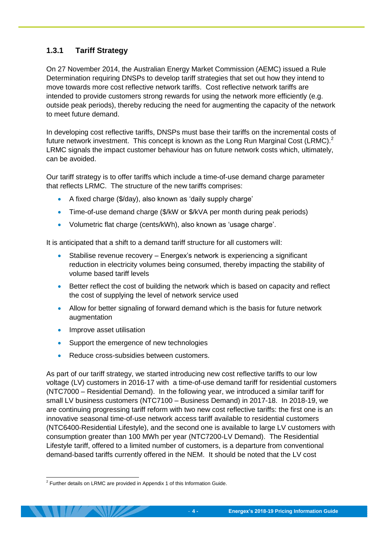### <span id="page-7-0"></span>**1.3.1 Tariff Strategy**

On 27 November 2014, the Australian Energy Market Commission (AEMC) issued a Rule Determination requiring DNSPs to develop tariff strategies that set out how they intend to move towards more cost reflective network tariffs. Cost reflective network tariffs are intended to provide customers strong rewards for using the network more efficiently (e.g. outside peak periods), thereby reducing the need for augmenting the capacity of the network to meet future demand.

In developing cost reflective tariffs, DNSPs must base their tariffs on the incremental costs of future network investment. This concept is known as the Long Run Marginal Cost (LRMC).<sup>2</sup> LRMC signals the impact customer behaviour has on future network costs which, ultimately, can be avoided.

Our tariff strategy is to offer tariffs which include a time-of-use demand charge parameter that reflects LRMC. The structure of the new tariffs comprises:

- A fixed charge (\$/day), also known as 'daily supply charge'
- Time-of-use demand charge (\$/kW or \$/kVA per month during peak periods)
- Volumetric flat charge (cents/kWh), also known as 'usage charge'.

It is anticipated that a shift to a demand tariff structure for all customers will:

- Stabilise revenue recovery Energex's network is experiencing a significant reduction in electricity volumes being consumed, thereby impacting the stability of volume based tariff levels
- Better reflect the cost of building the network which is based on capacity and reflect the cost of supplying the level of network service used
- Allow for better signaling of forward demand which is the basis for future network augmentation
- Improve asset utilisation
- Support the emergence of new technologies
- Reduce cross-subsidies between customers.

As part of our tariff strategy, we started introducing new cost reflective tariffs to our low voltage (LV) customers in 2016-17 with a time-of-use demand tariff for residential customers (NTC7000 – Residential Demand). In the following year, we introduced a similar tariff for small LV business customers (NTC7100 – Business Demand) in 2017-18. In 2018-19, we are continuing progressing tariff reform with two new cost reflective tariffs: the first one is an innovative seasonal time-of-use network access tariff available to residential customers (NTC6400-Residential Lifestyle), and the second one is available to large LV customers with consumption greater than 100 MWh per year (NTC7200-LV Demand). The Residential Lifestyle tariff, offered to a limited number of customers, is a departure from conventional demand-based tariffs currently offered in the NEM. It should be noted that the LV cost

 2 Further details on LRMC are provided in Appendix 1 of this Information Guide.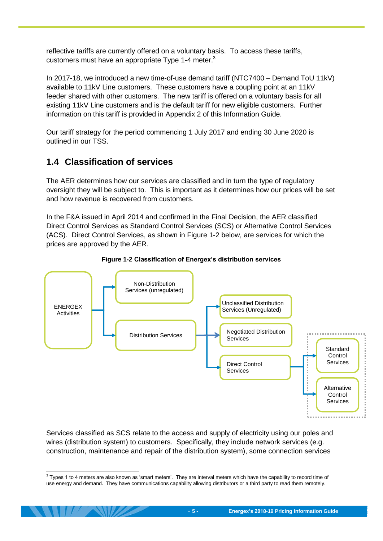reflective tariffs are currently offered on a voluntary basis. To access these tariffs, customers must have an appropriate Type 1-4 meter. $3$ 

In 2017-18, we introduced a new time-of-use demand tariff (NTC7400 – Demand ToU 11kV) available to 11kV Line customers. These customers have a coupling point at an 11kV feeder shared with other customers. The new tariff is offered on a voluntary basis for all existing 11kV Line customers and is the default tariff for new eligible customers. Further information on this tariff is provided in Appendix 2 of this Information Guide.

Our tariff strategy for the period commencing 1 July 2017 and ending 30 June 2020 is outlined in our TSS.

### <span id="page-8-0"></span>**1.4 Classification of services**

The AER determines how our services are classified and in turn the type of regulatory oversight they will be subject to. This is important as it determines how our prices will be set and how revenue is recovered from customers.

In the F&A issued in April 2014 and confirmed in the Final Decision, the AER classified Direct Control Services as Standard Control Services (SCS) or Alternative Control Services (ACS). Direct Control Services, as shown in [Figure 1-2](#page-8-1) below, are services for which the prices are approved by the AER.

<span id="page-8-1"></span>



Services classified as SCS relate to the access and supply of electricity using our poles and wires (distribution system) to customers. Specifically, they include network services (e.g. construction, maintenance and repair of the distribution system), some connection services

 3 Types 1 to 4 meters are also known as 'smart meters'. They are interval meters which have the capability to record time of use energy and demand. They have communications capability allowing distributors or a third party to read them remotely.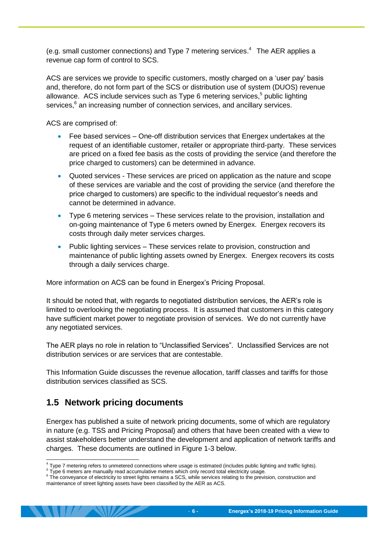(e.g. small customer connections) and Type 7 metering services. <sup>4</sup> The AER applies a revenue cap form of control to SCS.

ACS are services we provide to specific customers, mostly charged on a 'user pay' basis and, therefore, do not form part of the SCS or distribution use of system (DUOS) revenue allowance. ACS include services such as Type 6 metering services, 5 public lighting services,<sup>6</sup> an increasing number of connection services, and ancillary services.

ACS are comprised of:

- Fee based services One-off distribution services that Energex undertakes at the request of an identifiable customer, retailer or appropriate third-party. These services are priced on a fixed fee basis as the costs of providing the service (and therefore the price charged to customers) can be determined in advance.
- Quoted services These services are priced on application as the nature and scope of these services are variable and the cost of providing the service (and therefore the price charged to customers) are specific to the individual requestor's needs and cannot be determined in advance.
- Type 6 metering services These services relate to the provision, installation and on-going maintenance of Type 6 meters owned by Energex. Energex recovers its costs through daily meter services charges.
- Public lighting services These services relate to provision, construction and maintenance of public lighting assets owned by Energex. Energex recovers its costs through a daily services charge.

More information on ACS can be found in Energex's Pricing Proposal.

It should be noted that, with regards to negotiated distribution services, the AER's role is limited to overlooking the negotiating process. It is assumed that customers in this category have sufficient market power to negotiate provision of services. We do not currently have any negotiated services.

The AER plays no role in relation to "Unclassified Services". Unclassified Services are not distribution services or are services that are contestable.

This Information Guide discusses the revenue allocation, tariff classes and tariffs for those distribution services classified as SCS.

## <span id="page-9-0"></span>**1.5 Network pricing documents**

Energex has published a suite of network pricing documents, some of which are regulatory in nature (e.g. TSS and Pricing Proposal) and others that have been created with a view to assist stakeholders better understand the development and application of network tariffs and charges. These documents are outlined in [Figure 1-3](#page-10-0) below.

 4 Type 7 metering refers to unmetered connections where usage is estimated (includes public lighting and traffic lights).

<sup>&</sup>lt;sup>5</sup> Type 6 meters are manually read accumulative meters which only record total electricity usage.

Type conveyance of electricity to street lights remains a SCS, while services relating to the prevision, construction and maintenance of street lighting assets have been classified by the AER as ACS.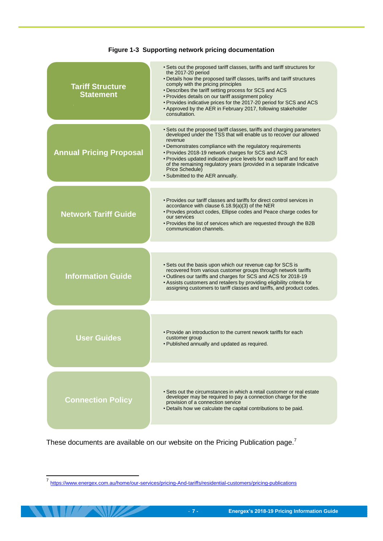<span id="page-10-0"></span>

| <b>Tariff Structure</b><br><b>Statement</b> | • Sets out the proposed tariff classes, tariffs and tariff structures for<br>the 2017-20 period<br>• Details how the proposed tariff classes, tariffs and tariff structures<br>comply with the pricing principles<br>• Describes the tariff setting process for SCS and ACS<br>• Provides details on our tariff assignment policy<br>• Provides indicative prices for the 2017-20 period for SCS and ACS<br>• Approved by the AER in February 2017, following stakeholder<br>consultation. |
|---------------------------------------------|--------------------------------------------------------------------------------------------------------------------------------------------------------------------------------------------------------------------------------------------------------------------------------------------------------------------------------------------------------------------------------------------------------------------------------------------------------------------------------------------|
| <b>Annual Pricing Proposal</b>              | • Sets out the proposed tariff classes, tariffs and charging parameters<br>developed under the TSS that will enable us to recover our allowed<br>revenue<br>• Demonstrates compliance with the regulatory requirements<br>• Provides 2018-19 network charges for SCS and ACS<br>• Provides updated indicative price levels for each tariff and for each<br>of the remaining regulatory years (provided in a separate Indicative<br>Price Schedule)<br>• Submitted to the AER annually.     |
| <b>Network Tariff Guide</b>                 | • Provides our tariff classes and tariffs for direct control services in<br>accordance with clause 6.18.9(a)(3) of the NER<br>• Provdes product codes, Ellipse codes and Peace charge codes for<br>our services<br>. Provides the list of services which are requested through the B2B                                                                                                                                                                                                     |
|                                             | communication channels.                                                                                                                                                                                                                                                                                                                                                                                                                                                                    |
| <b>Information Guide</b>                    | • Sets out the basis upon which our revenue cap for SCS is<br>recovered from various customer groups through network tariffs<br>• Outlines our tariffs and charges for SCS and ACS for 2018-19<br>• Assists customers and retailers by providing eligibility criteria for<br>assigning customers to tariff classes and tariffs, and product codes.                                                                                                                                         |
|                                             |                                                                                                                                                                                                                                                                                                                                                                                                                                                                                            |
| <b>User Guides</b>                          | • Provide an introduction to the current nework tariffs for each<br>customer group<br>. Published annually and updated as required.                                                                                                                                                                                                                                                                                                                                                        |
|                                             |                                                                                                                                                                                                                                                                                                                                                                                                                                                                                            |
| <b>Connection Policy</b>                    | • Sets out the circumstances in which a retail customer or real estate<br>developer may be required to pay a connection charge for the<br>provision of a connection service<br>. Details how we calculate the capital contributions to be paid.                                                                                                                                                                                                                                            |
|                                             |                                                                                                                                                                                                                                                                                                                                                                                                                                                                                            |

#### **Figure 1-3 Supporting network pricing documentation**

These documents are available on our website on the Pricing Publication page.<sup>7</sup>

<sup>–&</sup>lt;br>7 <https://www.energex.com.au/home/our-services/pricing-And-tariffs/residential-customers/pricing-publications>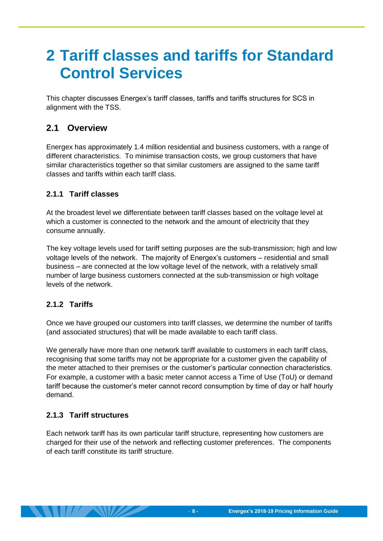# <span id="page-11-0"></span>**2 Tariff classes and tariffs for Standard Control Services**

This chapter discusses Energex's tariff classes, tariffs and tariffs structures for SCS in alignment with the TSS.

# <span id="page-11-1"></span>**2.1 Overview**

Energex has approximately 1.4 million residential and business customers, with a range of different characteristics. To minimise transaction costs, we group customers that have similar characteristics together so that similar customers are assigned to the same tariff classes and tariffs within each tariff class.

#### <span id="page-11-2"></span>**2.1.1 Tariff classes**

At the broadest level we differentiate between tariff classes based on the voltage level at which a customer is connected to the network and the amount of electricity that they consume annually.

The key voltage levels used for tariff setting purposes are the sub-transmission; high and low voltage levels of the network. The majority of Energex's customers – residential and small business – are connected at the low voltage level of the network, with a relatively small number of large business customers connected at the sub-transmission or high voltage levels of the network.

#### <span id="page-11-3"></span>**2.1.2 Tariffs**

Once we have grouped our customers into tariff classes, we determine the number of tariffs (and associated structures) that will be made available to each tariff class.

We generally have more than one network tariff available to customers in each tariff class, recognising that some tariffs may not be appropriate for a customer given the capability of the meter attached to their premises or the customer's particular connection characteristics. For example, a customer with a basic meter cannot access a Time of Use (ToU) or demand tariff because the customer's meter cannot record consumption by time of day or half hourly demand.

#### <span id="page-11-4"></span>**2.1.3 Tariff structures**

Each network tariff has its own particular tariff structure, representing how customers are charged for their use of the network and reflecting customer preferences. The components of each tariff constitute its tariff structure.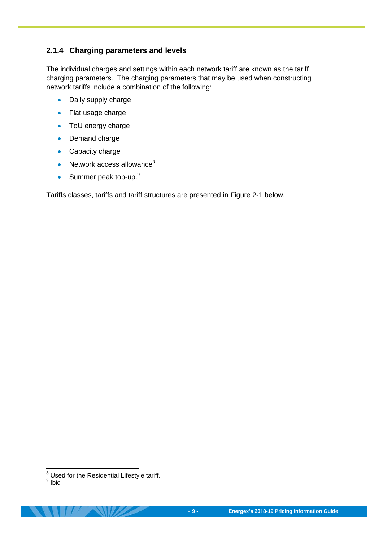#### <span id="page-12-0"></span>**2.1.4 Charging parameters and levels**

The individual charges and settings within each network tariff are known as the tariff charging parameters. The charging parameters that may be used when constructing network tariffs include a combination of the following:

- Daily supply charge
- Flat usage charge
- ToU energy charge
- Demand charge
- Capacity charge
- $\bullet$  Network access allowance $^8$
- $\bullet$  Summer peak top-up.<sup>9</sup>

Tariffs classes, tariffs and tariff structures are presented in [Figure 2-1](#page-13-0) below.

 $\overline{a}$  $8$  Used for the Residential Lifestyle tariff.

<sup>&</sup>lt;sup>9</sup> Ibid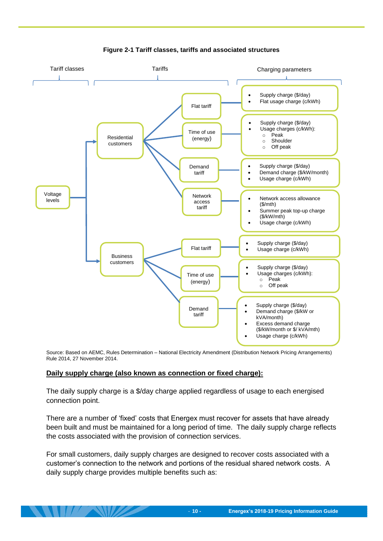<span id="page-13-0"></span>

**Figure 2-1 Tariff classes, tariffs and associated structures** 

Source: Based on AEMC, Rules Determination – National Electricity Amendment (Distribution Network Pricing Arrangements) Rule 2014, 27 November 2014.

#### **Daily supply charge (also known as connection or fixed charge):**

The daily supply charge is a \$/day charge applied regardless of usage to each energised connection point.

There are a number of 'fixed' costs that Energex must recover for assets that have already been built and must be maintained for a long period of time. The daily supply charge reflects the costs associated with the provision of connection services.

For small customers, daily supply charges are designed to recover costs associated with a customer's connection to the network and portions of the residual shared network costs. A daily supply charge provides multiple benefits such as: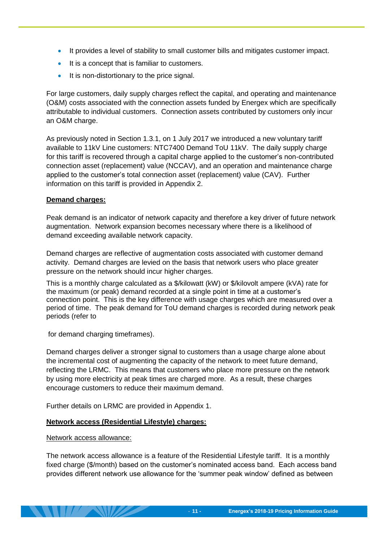- It provides a level of stability to small customer bills and mitigates customer impact.
- It is a concept that is familiar to customers.
- It is non-distortionary to the price signal.

For large customers, daily supply charges reflect the capital, and operating and maintenance (O&M) costs associated with the connection assets funded by Energex which are specifically attributable to individual customers. Connection assets contributed by customers only incur an O&M charge.

As previously noted in Section [1.3.1,](#page-7-0) on 1 July 2017 we introduced a new voluntary tariff available to 11kV Line customers: NTC7400 Demand ToU 11kV. The daily supply charge for this tariff is recovered through a capital charge applied to the customer's non-contributed connection asset (replacement) value (NCCAV), and an operation and maintenance charge applied to the customer's total connection asset (replacement) value (CAV). Further information on this tariff is provided in Appendix 2.

#### **Demand charges:**

Peak demand is an indicator of network capacity and therefore a key driver of future network augmentation. Network expansion becomes necessary where there is a likelihood of demand exceeding available network capacity.

Demand charges are reflective of augmentation costs associated with customer demand activity. Demand charges are levied on the basis that network users who place greater pressure on the network should incur higher charges.

This is a monthly charge calculated as a \$/kilowatt (kW) or \$/kilovolt ampere (kVA) rate for the maximum (or peak) demand recorded at a single point in time at a customer's connection point. This is the key difference with usage charges which are measured over a period of time. The peak demand for ToU demand charges is recorded during network peak periods (refer to

for demand charging timeframes).

Demand charges deliver a stronger signal to customers than a usage charge alone about the incremental cost of augmenting the capacity of the network to meet future demand, reflecting the LRMC. This means that customers who place more pressure on the network by using more electricity at peak times are charged more. As a result, these charges encourage customers to reduce their maximum demand.

Further details on LRMC are provided in Appendix 1.

#### **Network access (Residential Lifestyle) charges:**

Network access allowance:

The network access allowance is a feature of the Residential Lifestyle tariff. It is a monthly fixed charge (\$/month) based on the customer's nominated access band. Each access band provides different network use allowance for the 'summer peak window' defined as between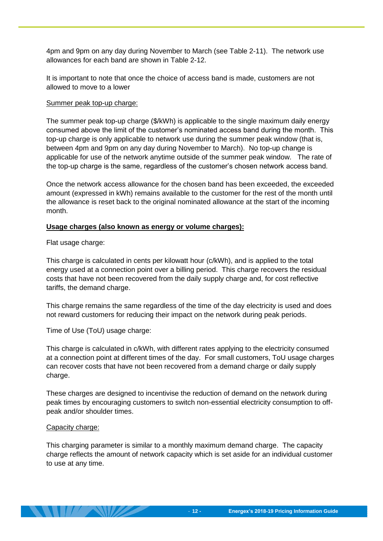4pm and 9pm on any day during November to March (see [Table 2-11\)](#page-26-1). The network use allowances for each band are shown in [Table 2-12.](#page-27-1)

It is important to note that once the choice of access band is made, customers are not allowed to move to a lower

#### Summer peak top-up charge:

The summer peak top-up charge (\$/kWh) is applicable to the single maximum daily energy consumed above the limit of the customer's nominated access band during the month. This top-up charge is only applicable to network use during the summer peak window (that is, between 4pm and 9pm on any day during November to March). No top-up change is applicable for use of the network anytime outside of the summer peak window. The rate of the top-up charge is the same, regardless of the customer's chosen network access band.

Once the network access allowance for the chosen band has been exceeded, the exceeded amount (expressed in kWh) remains available to the customer for the rest of the month until the allowance is reset back to the original nominated allowance at the start of the incoming month.

#### **Usage charges (also known as energy or volume charges):**

Flat usage charge:

This charge is calculated in cents per kilowatt hour (c/kWh), and is applied to the total energy used at a connection point over a billing period. This charge recovers the residual costs that have not been recovered from the daily supply charge and, for cost reflective tariffs, the demand charge.

This charge remains the same regardless of the time of the day electricity is used and does not reward customers for reducing their impact on the network during peak periods.

Time of Use (ToU) usage charge:

This charge is calculated in c/kWh, with different rates applying to the electricity consumed at a connection point at different times of the day. For small customers, ToU usage charges can recover costs that have not been recovered from a demand charge or daily supply charge.

These charges are designed to incentivise the reduction of demand on the network during peak times by encouraging customers to switch non-essential electricity consumption to offpeak and/or shoulder times.

#### Capacity charge:

This charging parameter is similar to a monthly maximum demand charge. The capacity charge reflects the amount of network capacity which is set aside for an individual customer to use at any time.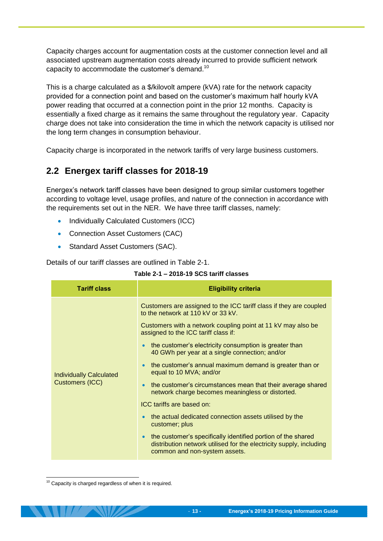Capacity charges account for augmentation costs at the customer connection level and all associated upstream augmentation costs already incurred to provide sufficient network capacity to accommodate the customer's demand.<sup>10</sup>

This is a charge calculated as a \$/kilovolt ampere (kVA) rate for the network capacity provided for a connection point and based on the customer's maximum half hourly kVA power reading that occurred at a connection point in the prior 12 months. Capacity is essentially a fixed charge as it remains the same throughout the regulatory year. Capacity charge does not take into consideration the time in which the network capacity is utilised nor the long term changes in consumption behaviour.

Capacity charge is incorporated in the network tariffs of very large business customers.

### <span id="page-16-0"></span>**2.2 Energex tariff classes for 2018-19**

Energex's network tariff classes have been designed to group similar customers together according to voltage level, usage profiles, and nature of the connection in accordance with the requirements set out in the NER. We have three tariff classes, namely:

- Individually Calculated Customers (ICC)
- Connection Asset Customers (CAC)
- Standard Asset Customers (SAC).

<span id="page-16-1"></span>Details of our tariff classes are outlined in [Table 2-1.](#page-16-1)

| <b>Tariff class</b>                                      | <b>Eligibility criteria</b>                                                                                                                                                                                                                                                                                                                                                                                                                                                                                                                                                                                                                                                                                                                                                                                                                                                             |  |  |
|----------------------------------------------------------|-----------------------------------------------------------------------------------------------------------------------------------------------------------------------------------------------------------------------------------------------------------------------------------------------------------------------------------------------------------------------------------------------------------------------------------------------------------------------------------------------------------------------------------------------------------------------------------------------------------------------------------------------------------------------------------------------------------------------------------------------------------------------------------------------------------------------------------------------------------------------------------------|--|--|
| <b>Individually Calculated</b><br><b>Customers (ICC)</b> | Customers are assigned to the ICC tariff class if they are coupled<br>to the network at 110 kV or 33 kV.<br>Customers with a network coupling point at 11 kV may also be<br>assigned to the ICC tariff class if:<br>the customer's electricity consumption is greater than<br>$\bullet$<br>40 GWh per year at a single connection; and/or<br>the customer's annual maximum demand is greater than or<br>$\bullet$<br>equal to 10 MVA; and/or<br>the customer's circumstances mean that their average shared<br>$\bullet$<br>network charge becomes meaningless or distorted.<br>ICC tariffs are based on:<br>the actual dedicated connection assets utilised by the<br>$\bullet$<br>customer; plus<br>the customer's specifically identified portion of the shared<br>$\bullet$<br>distribution network utilised for the electricity supply, including<br>common and non-system assets. |  |  |

| Table 2-1 - 2018-19 SCS tariff classes |  |  |  |
|----------------------------------------|--|--|--|
|----------------------------------------|--|--|--|

-

 $10$  Capacity is charged regardless of when it is required.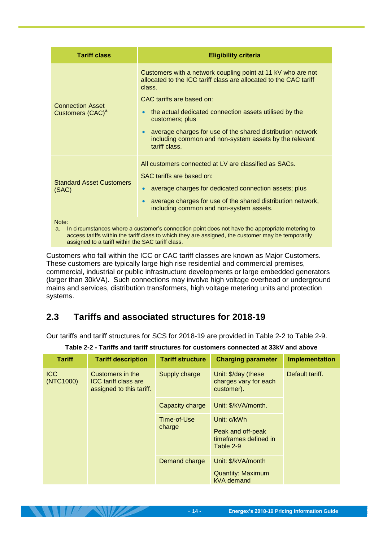| <b>Tariff class</b>                                                                                                                                                                                                                                                      | <b>Eligibility criteria</b>                                                                                                                                                                                                                                                                                                                                                                    |  |  |  |
|--------------------------------------------------------------------------------------------------------------------------------------------------------------------------------------------------------------------------------------------------------------------------|------------------------------------------------------------------------------------------------------------------------------------------------------------------------------------------------------------------------------------------------------------------------------------------------------------------------------------------------------------------------------------------------|--|--|--|
| <b>Connection Asset</b><br>Customers (CAC) <sup>a</sup>                                                                                                                                                                                                                  | Customers with a network coupling point at 11 kV who are not<br>allocated to the ICC tariff class are allocated to the CAC tariff<br>class.<br>CAC tariffs are based on:<br>the actual dedicated connection assets utilised by the<br>customers; plus<br>average charges for use of the shared distribution network<br>including common and non-system assets by the relevant<br>tariff class. |  |  |  |
| <b>Standard Asset Customers</b><br>(SAC)                                                                                                                                                                                                                                 | All customers connected at LV are classified as SACs.<br>SAC tariffs are based on:<br>average charges for dedicated connection assets; plus<br>average charges for use of the shared distribution network,<br>including common and non-system assets.                                                                                                                                          |  |  |  |
| Note:<br>In circumstances where a customer's connection point does not have the appropriate metering to<br>a.<br>access tariffs within the tariff class to which they are assigned, the customer may be temporarily<br>assigned to a tariff within the SAC tariff class. |                                                                                                                                                                                                                                                                                                                                                                                                |  |  |  |

Customers who fall within the ICC or CAC tariff classes are known as Major Customers. These customers are typically large high rise residential and commercial premises, commercial, industrial or public infrastructure developments or large embedded generators (larger than 30kVA). Such connections may involve high voltage overhead or underground mains and services, distribution transformers, high voltage metering units and protection systems.

## <span id="page-17-0"></span>**2.3 Tariffs and associated structures for 2018-19**

Our tariffs and tariff structures for SCS for 2018-19 are provided in [Table 2-2](#page-17-1) to [Table 2-9.](#page-25-2)

<span id="page-17-1"></span>

| <b>Tariff</b>           | <b>Tariff description</b>                                                   | <b>Tariff structure</b> | <b>Charging parameter</b>                                              | <b>Implementation</b> |
|-------------------------|-----------------------------------------------------------------------------|-------------------------|------------------------------------------------------------------------|-----------------------|
| <b>ICC</b><br>(NTC1000) | Customers in the<br><b>ICC tariff class are</b><br>assigned to this tariff. | Supply charge           | Unit: \$/day (these<br>charges vary for each<br>customer).             | Default tariff.       |
|                         |                                                                             | Capacity charge         | Unit: \$/kVA/month.                                                    |                       |
|                         |                                                                             | Time-of-Use<br>charge   | Unit: c/kWh<br>Peak and off-peak<br>timeframes defined in<br>Table 2-9 |                       |
|                         |                                                                             | Demand charge           | Unit: \$/kVA/month<br><b>Quantity: Maximum</b><br>kVA demand           |                       |

#### **Table 2-2 - Tariffs and tariff structures for customers connected at 33kV and above**

 $\left| \frac{1}{2} \right|$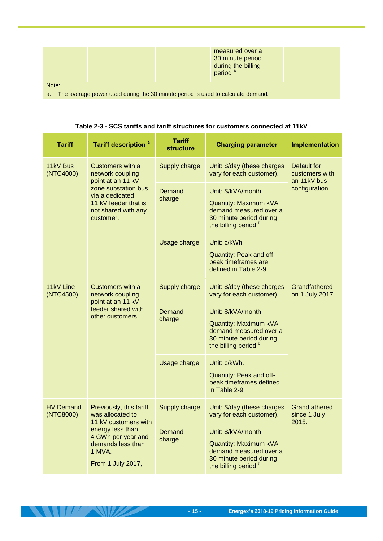|                                                                                       |  |  | measured over a<br>30 minute period<br>during the billing<br>period <sup>a</sup> |  |
|---------------------------------------------------------------------------------------|--|--|----------------------------------------------------------------------------------|--|
| Note:                                                                                 |  |  |                                                                                  |  |
| The average power used during the 30 minute period is used to calculate demand.<br>a. |  |  |                                                                                  |  |

<span id="page-18-0"></span>

| <b>Tariff</b>                                                                                                                                                                                      | <b>Tariff description<sup>a</sup></b>                                                               | <b>Tariff</b><br><b>structure</b>                                                                                         | <b>Charging parameter</b>                                                                                                            | Implementation                               |
|----------------------------------------------------------------------------------------------------------------------------------------------------------------------------------------------------|-----------------------------------------------------------------------------------------------------|---------------------------------------------------------------------------------------------------------------------------|--------------------------------------------------------------------------------------------------------------------------------------|----------------------------------------------|
| 11kV Bus<br>(NTC4000)                                                                                                                                                                              | Customers with a<br>network coupling<br>point at an 11 kV                                           | Supply charge                                                                                                             | Unit: \$/day (these charges<br>vary for each customer).                                                                              | Default for<br>customers with<br>an 11kV bus |
|                                                                                                                                                                                                    | zone substation bus<br>via a dedicated<br>11 kV feeder that is<br>not shared with any<br>customer.  | Demand<br>charge                                                                                                          | Unit: \$/kVA/month<br>Quantity: Maximum kVA<br>demand measured over a<br>30 minute period during<br>the billing period b             | configuration.                               |
|                                                                                                                                                                                                    |                                                                                                     | Usage charge                                                                                                              | Unit: c/kWh<br>Quantity: Peak and off-<br>peak timeframes are<br>defined in Table 2-9                                                |                                              |
| 11kV Line<br>(NTC4500)                                                                                                                                                                             | Customers with a<br>network coupling<br>point at an 11 kV<br>feeder shared with<br>other customers. | Supply charge                                                                                                             | Unit: \$/day (these charges<br>vary for each customer).                                                                              | Grandfathered<br>on 1 July 2017.             |
|                                                                                                                                                                                                    |                                                                                                     | Demand<br>charge                                                                                                          | Unit: \$/kVA/month.<br>Quantity: Maximum kVA<br>demand measured over a<br>30 minute period during<br>the billing period <sup>b</sup> |                                              |
|                                                                                                                                                                                                    |                                                                                                     | Usage charge                                                                                                              | Unit: c/kWh.<br>Quantity: Peak and off-<br>peak timeframes defined<br>in Table 2-9                                                   |                                              |
| Previously, this tariff<br><b>HV Demand</b><br>(NTC8000)<br>was allocated to<br>11 kV customers with<br>energy less than<br>4 GWh per year and<br>demands less than<br>1 MVA.<br>From 1 July 2017, |                                                                                                     | Supply charge                                                                                                             | Unit: \$/day (these charges<br>vary for each customer).                                                                              | Grandfathered<br>since 1 July<br>2015.       |
|                                                                                                                                                                                                    | Demand<br>charge                                                                                    | Unit: \$/kVA/month.<br>Quantity: Maximum kVA<br>demand measured over a<br>30 minute period during<br>the billing period b |                                                                                                                                      |                                              |

 $1/\sqrt{N}$ 

<u>e provinci provinci provinci provinci provinci provinci provinci provinci provinci provinci provinci provinci </u>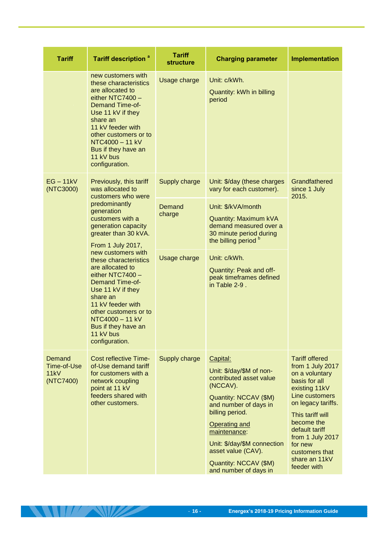| <b>Tariff</b>                              | <b>Tariff description<sup>a</sup></b>                                                                                                                                                                                                                                                                                                                                                                              | <b>Tariff</b><br><b>structure</b> | <b>Charging parameter</b>                                                                                                                                                                                                                                                                       | <b>Implementation</b>                                                                                                                                                                                                                                                      |                                                                                                                                            |  |
|--------------------------------------------|--------------------------------------------------------------------------------------------------------------------------------------------------------------------------------------------------------------------------------------------------------------------------------------------------------------------------------------------------------------------------------------------------------------------|-----------------------------------|-------------------------------------------------------------------------------------------------------------------------------------------------------------------------------------------------------------------------------------------------------------------------------------------------|----------------------------------------------------------------------------------------------------------------------------------------------------------------------------------------------------------------------------------------------------------------------------|--------------------------------------------------------------------------------------------------------------------------------------------|--|
|                                            | new customers with<br>these characteristics<br>are allocated to<br>either NTC7400 -<br><b>Demand Time-of-</b><br>Use 11 kV if they<br>share an<br>11 kV feeder with<br>other customers or to<br>NTC4000 - 11 kV<br>Bus if they have an<br>11 kV bus<br>configuration.                                                                                                                                              | Usage charge                      | Unit: c/kWh.<br>Quantity: kWh in billing<br>period                                                                                                                                                                                                                                              |                                                                                                                                                                                                                                                                            |                                                                                                                                            |  |
| $EG - 11kV$<br>(NTC3000)                   | Previously, this tariff<br>was allocated to                                                                                                                                                                                                                                                                                                                                                                        | Supply charge                     | Unit: \$/day (these charges<br>vary for each customer).                                                                                                                                                                                                                                         | Grandfathered<br>since 1 July<br>2015.                                                                                                                                                                                                                                     |                                                                                                                                            |  |
|                                            | customers who were<br>predominantly<br>generation<br>customers with a<br>generation capacity<br>greater than 30 kVA.<br>From 1 July 2017,<br>new customers with<br>these characteristics<br>are allocated to<br>either NTC7400 -<br><b>Demand Time-of-</b><br>Use 11 kV if they<br>share an<br>11 kV feeder with<br>other customers or to<br>NTC4000 - 11 kV<br>Bus if they have an<br>11 kV bus<br>configuration. |                                   |                                                                                                                                                                                                                                                                                                 | Demand<br>charge                                                                                                                                                                                                                                                           | Unit: \$/kVA/month<br><b>Quantity: Maximum kVA</b><br>demand measured over a<br>30 minute period during<br>the billing period <sup>b</sup> |  |
|                                            |                                                                                                                                                                                                                                                                                                                                                                                                                    | Usage charge                      | Unit: c/kWh.<br>Quantity: Peak and off-<br>peak timeframes defined<br>in Table 2-9.                                                                                                                                                                                                             |                                                                                                                                                                                                                                                                            |                                                                                                                                            |  |
| Demand<br>Time-of-Use<br>11kV<br>(NTC7400) | <b>Cost reflective Time-</b><br>of-Use demand tariff<br>for customers with a<br>network coupling<br>point at 11 kV<br>feeders shared with<br>other customers.                                                                                                                                                                                                                                                      | Supply charge                     | Capital:<br>Unit: \$/day/\$M of non-<br>contributed asset value<br>(NCCAV).<br>Quantity: NCCAV (\$M)<br>and number of days in<br>billing period.<br><b>Operating and</b><br>maintenance:<br>Unit: \$/day/\$M connection<br>asset value (CAV).<br>Quantity: NCCAV (\$M)<br>and number of days in | <b>Tariff offered</b><br>from 1 July 2017<br>on a voluntary<br>basis for all<br>existing 11kV<br>Line customers<br>on legacy tariffs.<br>This tariff will<br>become the<br>default tariff<br>from 1 July 2017<br>for new<br>customers that<br>share an 11kV<br>feeder with |                                                                                                                                            |  |

**THE REAL PROPERTY**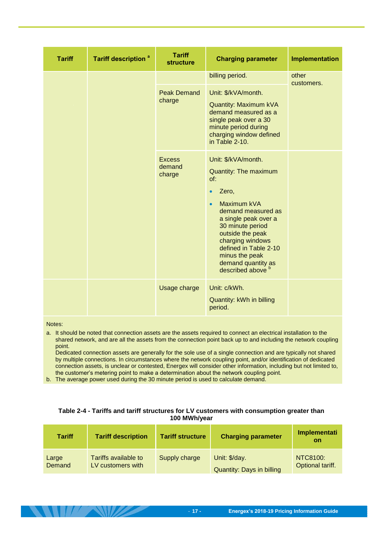| <b>Tariff</b> | <b>Tariff description<sup>a</sup></b> | <b>Tariff</b><br><b>structure</b> | <b>Charging parameter</b>                                                                                                                                                                                                                                                                                               | Implementation      |
|---------------|---------------------------------------|-----------------------------------|-------------------------------------------------------------------------------------------------------------------------------------------------------------------------------------------------------------------------------------------------------------------------------------------------------------------------|---------------------|
|               |                                       | <b>Peak Demand</b><br>charge      | billing period.<br>Unit: \$/kVA/month.<br><b>Quantity: Maximum kVA</b><br>demand measured as a<br>single peak over a 30<br>minute period during<br>charging window defined<br>in Table 2-10.                                                                                                                            | other<br>customers. |
|               |                                       | <b>Excess</b><br>demand<br>charge | Unit: \$/kVA/month.<br><b>Quantity: The maximum</b><br>of:<br>Zero,<br>$\bullet$<br>Maximum kVA<br>$\bullet$<br>demand measured as<br>a single peak over a<br>30 minute period<br>outside the peak<br>charging windows<br>defined in Table 2-10<br>minus the peak<br>demand quantity as<br>described above <sup>b</sup> |                     |
|               |                                       | Usage charge                      | Unit: c/kWh.<br>Quantity: kWh in billing<br>period.                                                                                                                                                                                                                                                                     |                     |

Notes:

a. It should be noted that connection assets are the assets required to connect an electrical installation to the shared network, and are all the assets from the connection point back up to and including the network coupling point.

 Dedicated connection assets are generally for the sole use of a single connection and are typically not shared by multiple connections. In circumstances where the network coupling point, and/or identification of dedicated connection assets, is unclear or contested, Energex will consider other information, including but not limited to, the customer's metering point to make a determination about the network coupling point.

<span id="page-20-0"></span>b. The average power used during the 30 minute period is used to calculate demand.

 $\frac{1}{2}$ 

#### **Table 2-4 - Tariffs and tariff structures for LV customers with consumption greater than 100 MWh/year**

| <b>Tariff</b> | <b>Tariff description</b> | <b>Tariff structure</b> | <b>Charging parameter</b>        | Implementati<br><b>on</b> |
|---------------|---------------------------|-------------------------|----------------------------------|---------------------------|
| Large         | Tariffs available to      | Supply charge           | Unit: \$/day.                    | NTC8100:                  |
| Demand        | LV customers with         |                         | <b>Quantity: Days in billing</b> | Optional tariff.          |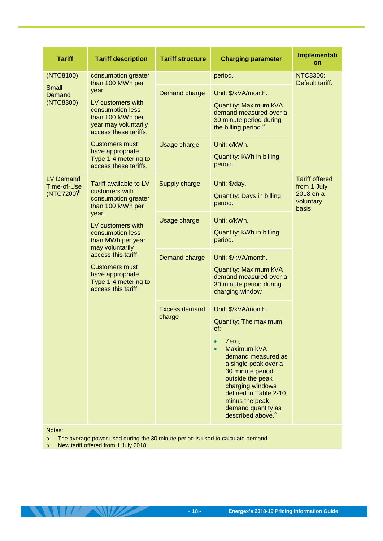| Tariff                                    | <b>Tariff description</b>                                                                                                                                                     | <b>Tariff structure</b>        | <b>Charging parameter</b>                                                                                                                                                                                                                                                                       | Implementati<br>on                                                       |
|-------------------------------------------|-------------------------------------------------------------------------------------------------------------------------------------------------------------------------------|--------------------------------|-------------------------------------------------------------------------------------------------------------------------------------------------------------------------------------------------------------------------------------------------------------------------------------------------|--------------------------------------------------------------------------|
| (NTC8100)<br>Small<br>Demand<br>(NTC8300) | consumption greater<br>than 100 MWh per<br>vear.<br>LV customers with<br>consumption less<br>than 100 MWh per<br>year may voluntarily<br>access these tariffs.                | Demand charge                  | period.<br>Unit: \$/kVA/month.<br><b>Quantity: Maximum kVA</b><br>demand measured over a<br>30 minute period during<br>the billing period. <sup>a</sup>                                                                                                                                         | <b>NTC8300:</b><br>Default tariff.                                       |
|                                           | <b>Customers must</b><br>have appropriate<br>Type 1-4 metering to<br>access these tariffs.                                                                                    | Usage charge                   | Unit: c/kWh.<br>Quantity: kWh in billing<br>period.                                                                                                                                                                                                                                             |                                                                          |
| LV Demand<br>Time-of-Use<br>$(NTC7200)^b$ | Tariff available to LV<br>customers with<br>consumption greater<br>than 100 MWh per<br>year.<br>LV customers with<br>consumption less<br>than MWh per year<br>may voluntarily | Supply charge                  | Unit: \$/day.<br><b>Quantity: Days in billing</b><br>period.                                                                                                                                                                                                                                    | <b>Tariff offered</b><br>from 1 July<br>2018 on a<br>voluntary<br>basis. |
|                                           |                                                                                                                                                                               | Usage charge                   | Unit: c/kWh.<br>Quantity: kWh in billing<br>period.                                                                                                                                                                                                                                             |                                                                          |
|                                           | access this tariff.<br><b>Customers must</b><br>have appropriate<br>Type 1-4 metering to<br>access this tariff.                                                               | <b>Demand charge</b>           | Unit: \$/kVA/month.<br><b>Quantity: Maximum kVA</b><br>demand measured over a<br>30 minute period during<br>charging window                                                                                                                                                                     |                                                                          |
|                                           |                                                                                                                                                                               | <b>Excess demand</b><br>charge | Unit: \$/kVA/month.<br><b>Quantity: The maximum</b><br>of:<br>Zero,<br>Maximum kVA<br>demand measured as<br>a single peak over a<br>30 minute period<br>outside the peak<br>charging windows<br>defined in Table 2-10,<br>minus the peak<br>demand quantity as<br>described above. <sup>a</sup> |                                                                          |

Notes:

a. The average power used during the 30 minute period is used to calculate demand.

b. New tariff offered from 1 July 2018.

**THE STATE OF STREET**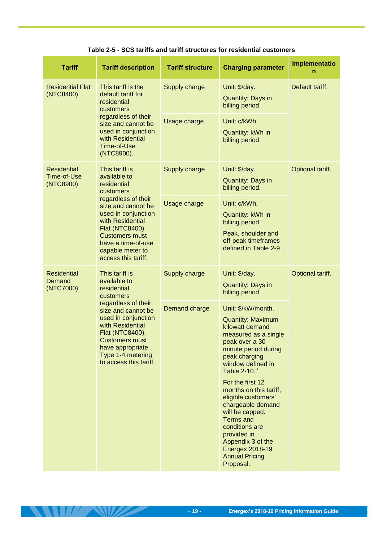**Table 2-5 - SCS tariffs and tariff structures for residential customers**

<span id="page-22-0"></span>

| <b>Tariff</b>                                  | <b>Tariff description</b>                                                                                                                                                                                                                                         | <b>Tariff structure</b> | <b>Charging parameter</b>                                                                                                                                                                                                                           | Implementatio<br>n |
|------------------------------------------------|-------------------------------------------------------------------------------------------------------------------------------------------------------------------------------------------------------------------------------------------------------------------|-------------------------|-----------------------------------------------------------------------------------------------------------------------------------------------------------------------------------------------------------------------------------------------------|--------------------|
| <b>Residential Flat</b><br>(NTC8400)           | This tariff is the<br>default tariff for<br>residential<br>customers                                                                                                                                                                                              | Supply charge           | Unit: \$/day.<br><b>Quantity: Days in</b><br>billing period.                                                                                                                                                                                        | Default tariff.    |
|                                                | regardless of their<br>size and cannot be<br>used in conjunction<br>with Residential<br>Time-of-Use<br>(NTC8900).                                                                                                                                                 | Usage charge            | Unit: c/kWh.<br>Quantity: kWh in<br>billing period.                                                                                                                                                                                                 |                    |
| <b>Residential</b><br>Time-of-Use<br>(NTC8900) | This tariff is<br>available to<br>residential<br>customers<br>regardless of their<br>size and cannot be<br>used in conjunction<br>with Residential<br>Flat (NTC8400).<br><b>Customers must</b><br>have a time-of-use<br>capable meter to<br>access this tariff.   | Supply charge           | Unit: \$/day.<br><b>Quantity: Days in</b><br>billing period.                                                                                                                                                                                        | Optional tariff.   |
|                                                |                                                                                                                                                                                                                                                                   | Usage charge            | Unit: c/kWh.<br>Quantity: kWh in<br>billing period.<br>Peak, shoulder and<br>off-peak timeframes<br>defined in Table 2-9.                                                                                                                           |                    |
| <b>Residential</b><br>Demand<br>(NTC7000)      | This tariff is<br>available to<br>residential<br>customers<br>regardless of their<br>size and cannot be<br>used in conjunction<br>with Residential<br>Flat (NTC8400).<br><b>Customers must</b><br>have appropriate<br>Type 1-4 metering<br>to access this tariff. | Supply charge           | Unit: \$/day.<br><b>Quantity: Days in</b><br>billing period.                                                                                                                                                                                        | Optional tariff.   |
|                                                |                                                                                                                                                                                                                                                                   | Demand charge           | Unit: \$/kW/month.<br><b>Quantity: Maximum</b><br>kilowatt demand<br>measured as a single<br>peak over a 30<br>minute period during<br>peak charging<br>window defined in<br>Table 2-10. <sup>a</sup>                                               |                    |
|                                                |                                                                                                                                                                                                                                                                   |                         | For the first 12<br>months on this tariff,<br>eligible customers'<br>chargeable demand<br>will be capped.<br><b>Terms and</b><br>conditions are<br>provided in<br>Appendix 3 of the<br><b>Energex 2018-19</b><br><b>Annual Pricing</b><br>Proposal. |                    |

**STATISTICS**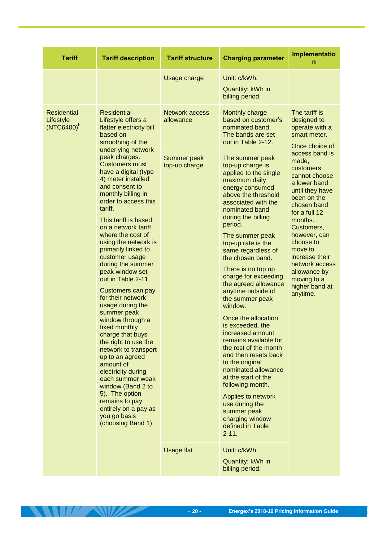| <b>Tariff</b>                                    | <b>Tariff description</b>                                                                                                                                                                                                                                                                                                                                                                                                                                                                                                                                                                                                                                                                                                                                                      | <b>Tariff structure</b>            | <b>Charging parameter</b>                                                                                                                                                                                                                                                                                                                                                                                                                                                                                                                                                                                                                                                                                                                               | Implementatio<br>n                                                                                                                                                                                                                                                                                        |
|--------------------------------------------------|--------------------------------------------------------------------------------------------------------------------------------------------------------------------------------------------------------------------------------------------------------------------------------------------------------------------------------------------------------------------------------------------------------------------------------------------------------------------------------------------------------------------------------------------------------------------------------------------------------------------------------------------------------------------------------------------------------------------------------------------------------------------------------|------------------------------------|---------------------------------------------------------------------------------------------------------------------------------------------------------------------------------------------------------------------------------------------------------------------------------------------------------------------------------------------------------------------------------------------------------------------------------------------------------------------------------------------------------------------------------------------------------------------------------------------------------------------------------------------------------------------------------------------------------------------------------------------------------|-----------------------------------------------------------------------------------------------------------------------------------------------------------------------------------------------------------------------------------------------------------------------------------------------------------|
|                                                  |                                                                                                                                                                                                                                                                                                                                                                                                                                                                                                                                                                                                                                                                                                                                                                                | Usage charge                       | Unit: c/kWh.<br>Quantity: kWh in<br>billing period.                                                                                                                                                                                                                                                                                                                                                                                                                                                                                                                                                                                                                                                                                                     |                                                                                                                                                                                                                                                                                                           |
| <b>Residential</b><br>Lifestyle<br>$(NTC6400)^b$ | <b>Residential</b><br>Lifestyle offers a<br>flatter electricity bill<br>based on<br>smoothing of the                                                                                                                                                                                                                                                                                                                                                                                                                                                                                                                                                                                                                                                                           | <b>Network access</b><br>allowance | Monthly charge<br>based on customer's<br>nominated band.<br>The bands are set<br>out in Table 2-12.                                                                                                                                                                                                                                                                                                                                                                                                                                                                                                                                                                                                                                                     | The tariff is<br>designed to<br>operate with a<br>smart meter.<br>Once choice of                                                                                                                                                                                                                          |
|                                                  | underlying network<br>peak charges.<br><b>Customers must</b><br>have a digital (type<br>4) meter installed<br>and consent to<br>monthly billing in<br>order to access this<br>tariff.<br>This tariff is based<br>on a network tariff<br>where the cost of<br>using the network is<br>primarily linked to<br>customer usage<br>during the summer<br>peak window set<br>out in Table 2-11.<br>Customers can pay<br>for their network<br>usage during the<br>summer peak<br>window through a<br>fixed monthly<br>charge that buys<br>the right to use the<br>network to transport<br>up to an agreed<br>amount of<br>electricity during<br>each summer weak<br>window (Band 2 to<br>5). The option<br>remains to pay<br>entirely on a pay as<br>you go basis<br>(choosing Band 1) | Summer peak<br>top-up charge       | The summer peak<br>top-up charge is<br>applied to the single<br>maximum daily<br>energy consumed<br>above the threshold<br>associated with the<br>nominated band<br>during the billing<br>period.<br>The summer peak<br>top-up rate is the<br>same regardless of<br>the chosen band.<br>There is no top up<br>charge for exceeding<br>the agreed allowance<br>anytime outside of<br>the summer peak<br>window.<br>Once the allocation<br>is exceeded, the<br>increased amount<br>remains available for<br>the rest of the month<br>and then resets back<br>to the original<br>nominated allowance<br>at the start of the<br>following month.<br>Applies to network<br>use during the<br>summer peak<br>charging window<br>defined in Table<br>$2 - 11.$ | access band is<br>made,<br>customers<br>cannot choose<br>a lower band<br>until they have<br>been on the<br>chosen band<br>for a full 12<br>months.<br>Customers,<br>however, can<br>choose to<br>move to<br>increase their<br>network access<br>allowance by<br>moving to a<br>higher band at<br>anytime. |
|                                                  |                                                                                                                                                                                                                                                                                                                                                                                                                                                                                                                                                                                                                                                                                                                                                                                | <b>Usage flat</b>                  | Unit: c/kWh<br>Quantity: kWh in<br>billing period.                                                                                                                                                                                                                                                                                                                                                                                                                                                                                                                                                                                                                                                                                                      |                                                                                                                                                                                                                                                                                                           |

**THE REAL PROPERTY**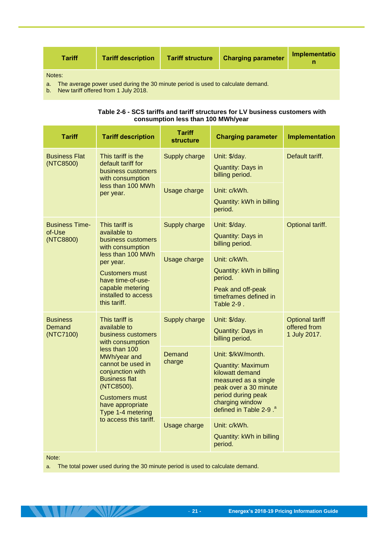| Tariff | <b>Tariff description</b> | <b>Tariff structure</b> | <b>Charging parameter</b> | Implementatio |
|--------|---------------------------|-------------------------|---------------------------|---------------|
| Notes: |                           |                         |                           |               |

a. The average power used during the 30 minute period is used to calculate demand.

<span id="page-24-0"></span>b. New tariff offered from 1 July 2018.

| Table 2-6 - SCS tariffs and tariff structures for LV business customers with |
|------------------------------------------------------------------------------|
| consumption less than 100 MWh/year                                           |

| <b>Tariff</b>                                | <b>Tariff description</b>                                                                                                                                                                                                                                  | <b>Tariff</b><br><b>structure</b> | <b>Charging parameter</b>                                                                                                                                                                         | Implementation                                         |
|----------------------------------------------|------------------------------------------------------------------------------------------------------------------------------------------------------------------------------------------------------------------------------------------------------------|-----------------------------------|---------------------------------------------------------------------------------------------------------------------------------------------------------------------------------------------------|--------------------------------------------------------|
| <b>Business Flat</b><br>(NTC8500)            | This tariff is the<br>default tariff for<br>business customers<br>with consumption                                                                                                                                                                         | Supply charge                     | Unit: \$/day.<br><b>Quantity: Days in</b><br>billing period.                                                                                                                                      | Default tariff.                                        |
|                                              | less than 100 MWh<br>per year.                                                                                                                                                                                                                             | Usage charge                      | Unit: c/kWh.<br>Quantity: kWh in billing<br>period.                                                                                                                                               |                                                        |
| <b>Business Time-</b><br>of-Use<br>(NTC8800) | This tariff is<br>available to<br>business customers<br>with consumption                                                                                                                                                                                   | Supply charge                     | Unit: \$/day.<br><b>Quantity: Days in</b><br>billing period.                                                                                                                                      | Optional tariff.                                       |
|                                              | less than 100 MWh<br>per year.<br><b>Customers must</b><br>have time-of-use-<br>capable metering<br>installed to access<br>this tariff.                                                                                                                    | Usage charge                      | Unit: c/kWh.<br>Quantity: kWh in billing<br>period.<br>Peak and off-peak<br>timeframes defined in<br>Table $2-9$ .                                                                                |                                                        |
| <b>Business</b><br>Demand<br>(NTC7100)       | This tariff is<br>available to<br>business customers<br>with consumption<br>less than 100<br>MWh/year and<br>cannot be used in<br>conjunction with<br><b>Business flat</b><br>(NTC8500).<br><b>Customers must</b><br>have appropriate<br>Type 1-4 metering | Supply charge                     | Unit: \$/day.<br><b>Quantity: Days in</b><br>billing period.                                                                                                                                      | <b>Optional tariff</b><br>offered from<br>1 July 2017. |
|                                              |                                                                                                                                                                                                                                                            | Demand<br>charge                  | Unit: \$/kW/month.<br><b>Quantity: Maximum</b><br>kilowatt demand<br>measured as a single<br>peak over a 30 minute<br>period during peak<br>charging window<br>defined in Table 2-9. <sup>a</sup> |                                                        |
|                                              | to access this tariff.                                                                                                                                                                                                                                     | Usage charge                      | Unit: c/kWh.<br>Quantity: kWh in billing<br>period.                                                                                                                                               |                                                        |

Note:

 $11<sup>7</sup>$ 

a. The total power used during the 30 minute period is used to calculate demand.

<u>ta se</u>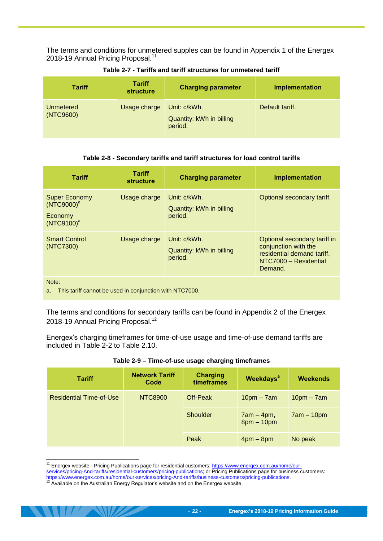The terms and conditions for unmetered supples can be found in Appendix 1 of the Energex 2018-19 Annual Pricing Proposal.<sup>11</sup>

<span id="page-25-0"></span>

| <b>Tariff</b>          | <b>Tariff</b><br><b>structure</b> | <b>Charging parameter</b>                           | Implementation  |
|------------------------|-----------------------------------|-----------------------------------------------------|-----------------|
| Unmetered<br>(NTC9600) | Usage charge                      | Unit: c/kWh.<br>Quantity: kWh in billing<br>period. | Default tariff. |

**Table 2-7 - Tariffs and tariff structures for unmetered tariff**

#### **Table 2-8 - Secondary tariffs and tariff structures for load control tariffs**

<span id="page-25-1"></span>

| <b>Tariff</b>                                                              | Tariff<br><b>structure</b> | <b>Charging parameter</b>                           | <b>Implementation</b>                                                                                                  |  |
|----------------------------------------------------------------------------|----------------------------|-----------------------------------------------------|------------------------------------------------------------------------------------------------------------------------|--|
| <b>Super Economy</b><br>(NTC9000) <sup>a</sup><br>Economy<br>$(NTC9100)^a$ | Usage charge               | Unit: c/kWh.<br>Quantity: kWh in billing<br>period. | Optional secondary tariff.                                                                                             |  |
| <b>Smart Control</b><br>(NTC7300)                                          | Usage charge               | Unit: c/kWh.<br>Quantity: kWh in billing<br>period. | Optional secondary tariff in<br>conjunction with the<br>residential demand tariff,<br>NTC7000 - Residential<br>Demand. |  |
| Note:<br>This tariff cannot be used in conjunction with NTC7000.<br>a.     |                            |                                                     |                                                                                                                        |  |

The terms and conditions for secondary tariffs can be found in Appendix 2 of the Energex 2018-19 Annual Pricing Proposal.<sup>12</sup>

Energex's charging timeframes for time-of-use usage and time-of-use demand tariffs are included in [Table 2-2](#page-17-1) to Table 2.10.

<span id="page-25-2"></span>

| <b>Tariff</b>                  | <b>Network Tariff</b><br>Code | <b>Charging</b><br>timeframes | <b>Weekdays<sup>a</sup></b>  | <b>Weekends</b> |
|--------------------------------|-------------------------------|-------------------------------|------------------------------|-----------------|
| <b>Residential Time-of-Use</b> | NTC8900                       | Off-Peak                      | $10pm - 7am$                 | $10pm - 7am$    |
|                                |                               | Shoulder                      | $7am - 4pm,$<br>$8pm - 10pm$ | $7am - 10pm$    |
|                                |                               | Peak                          | $4$ pm $-$ 8pm               | No peak         |

#### **Table 2-9 – Time-of-use usage charging timeframes**

<sup>-</sup><sup>11</sup> Energex website - Pricing Publications page for residential customers[: https://www.energex.com.au/home/our-](https://www.energex.com.au/home/our-services/pricing-And-tariffs/residential-customers/pricing-publications)

[services/pricing-And-tariffs/residential-customers/pricing-publications;](https://www.energex.com.au/home/our-services/pricing-And-tariffs/residential-customers/pricing-publications) or Pricing Publications page for business customers: <u>https://www.energex.com.au/home/our-services/pricing-And-tariffs/business-customers/pricing-publications</u>.<br><sup>12</sup> Available on the Australian Energy Regulator's website and on the Energex website.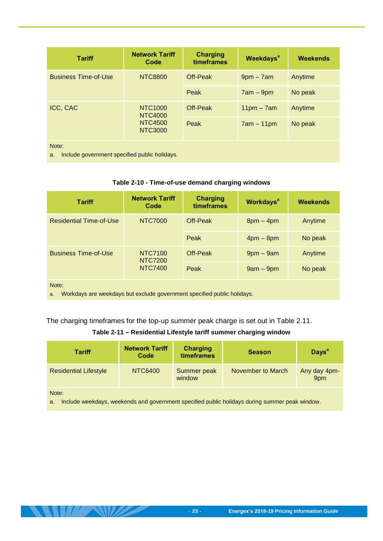| <b>Tariff</b>                                                | <b>Network Tariff</b><br>Code    | <b>Charging</b><br>timeframes | <b>Weekdays<sup>a</sup></b> | <b>Weekends</b> |
|--------------------------------------------------------------|----------------------------------|-------------------------------|-----------------------------|-----------------|
| <b>Business Time-of-Use</b>                                  | <b>NTC8800</b>                   | Off-Peak                      | $9pm - 7am$                 | Anytime         |
|                                                              |                                  | Peak                          | $7am - 9pm$                 | No peak         |
| ICC, CAC                                                     | NTC1000<br><b>NTC4000</b>        | Off-Peak                      | $11pm - 7am$                | Anytime         |
|                                                              | <b>NTC4500</b><br><b>NTC3000</b> | Peak                          | $7am - 11pm$                | No peak         |
| Note:<br>Include government specified public holidays.<br>a. |                                  |                               |                             |                 |

#### **Table 2-10 - Time-of-use demand charging windows**

<span id="page-26-2"></span><span id="page-26-0"></span>

| <b>Tariff</b>                                                                          | <b>Network Tariff</b><br>Code | <b>Charging</b><br>timeframes | <b>Workdays<sup>a</sup></b> | <b>Weekends</b> |
|----------------------------------------------------------------------------------------|-------------------------------|-------------------------------|-----------------------------|-----------------|
| <b>Residential Time-of-Use</b>                                                         | <b>NTC7000</b>                | Off-Peak                      | $8pm - 4pm$                 | Anytime         |
|                                                                                        |                               | Peak                          | $4pm - 8pm$                 | No peak         |
| <b>Business Time-of-Use</b>                                                            | NTC7100<br><b>NTC7200</b>     | Off-Peak                      | $9$ pm $-9$ am              | Anytime         |
|                                                                                        | <b>NTC7400</b>                | Peak                          | $9am - 9pm$                 | No peak         |
| Note:<br>Workdays are weekdays but exclude government specified public holidays.<br>a. |                               |                               |                             |                 |

The charging timeframes for the top-up summer peak charge is set out in Table 2.11.

#### **Table 2-11 – Residential Lifestyle tariff summer charging window**

<span id="page-26-1"></span>

| <b>Tariff</b>                                                                                                 | <b>Network Tariff</b><br>Code | <b>Charging</b><br>timeframes | <b>Season</b>     | <b>Days<sup>a</sup></b> |
|---------------------------------------------------------------------------------------------------------------|-------------------------------|-------------------------------|-------------------|-------------------------|
| <b>Residential Lifestyle</b>                                                                                  | NTC6400                       | Summer peak<br>window         | November to March | Any day 4pm-<br>9pm     |
| Note:<br>Include weekdays, weekends and government specified public holidays during summer peak window.<br>a. |                               |                               |                   |                         |

 $\left| \frac{1}{2} \right|$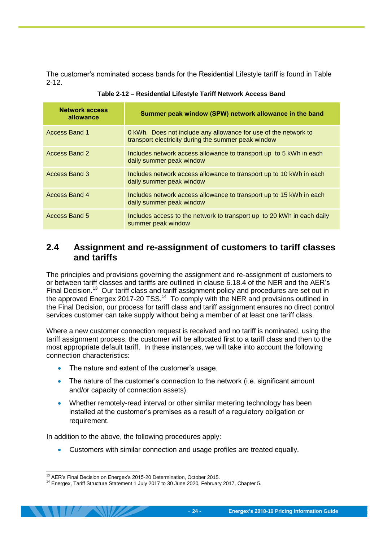The customer's nominated access bands for the Residential Lifestyle tariff is found in [Table](#page-27-1)  [2-12.](#page-27-1)

<span id="page-27-1"></span>

| <b>Network access</b><br>allowance | Summer peak window (SPW) network allowance in the band                                                                 |
|------------------------------------|------------------------------------------------------------------------------------------------------------------------|
| Access Band 1                      | 0 kWh. Does not include any allowance for use of the network to<br>transport electricity during the summer peak window |
| Access Band 2                      | Includes network access allowance to transport up to 5 kWh in each<br>daily summer peak window                         |
| <b>Access Band 3</b>               | Includes network access allowance to transport up to 10 kWh in each<br>daily summer peak window                        |
| Access Band 4                      | Includes network access allowance to transport up to 15 kWh in each<br>daily summer peak window                        |
| <b>Access Band 5</b>               | Includes access to the network to transport up to 20 kWh in each daily<br>summer peak window                           |

| Table 2-12 - Residential Lifestyle Tariff Network Access Band |  |
|---------------------------------------------------------------|--|
|---------------------------------------------------------------|--|

#### <span id="page-27-0"></span>**2.4 Assignment and re-assignment of customers to tariff classes and tariffs**

The principles and provisions governing the assignment and re-assignment of customers to or between tariff classes and tariffs are outlined in clause 6.18.4 of the NER and the AER's Final Decision.<sup>13</sup> Our tariff class and tariff assignment policy and procedures are set out in the approved Energex 2017-20 TSS.<sup>14</sup> To comply with the NER and provisions outlined in the Final Decision, our process for tariff class and tariff assignment ensures no direct control services customer can take supply without being a member of at least one tariff class.

Where a new customer connection request is received and no tariff is nominated, using the tariff assignment process, the customer will be allocated first to a tariff class and then to the most appropriate default tariff. In these instances, we will take into account the following connection characteristics:

- The nature and extent of the customer's usage.
- The nature of the customer's connection to the network (i.e. significant amount and/or capacity of connection assets).
- Whether remotely-read interval or other similar metering technology has been installed at the customer's premises as a result of a regulatory obligation or requirement.

In addition to the above, the following procedures apply:

Customers with similar connection and usage profiles are treated equally.

<sup>-</sup><sup>13</sup> AER's Final Decision on Energex's 2015-20 Determination, October 2015.

<sup>14</sup> Energex, Tariff Structure Statement 1 July 2017 to 30 June 2020, February 2017, Chapter 5.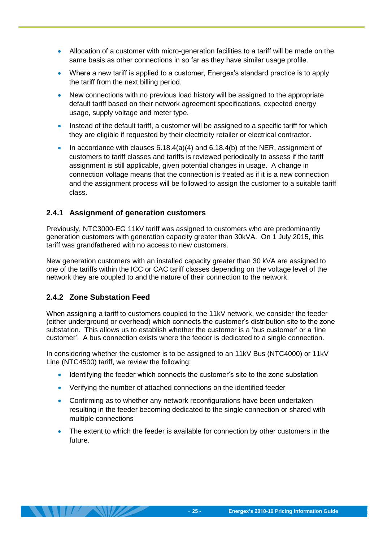- Allocation of a customer with micro-generation facilities to a tariff will be made on the same basis as other connections in so far as they have similar usage profile.
- Where a new tariff is applied to a customer, Energex's standard practice is to apply the tariff from the next billing period.
- New connections with no previous load history will be assigned to the appropriate default tariff based on their network agreement specifications, expected energy usage, supply voltage and meter type.
- Instead of the default tariff, a customer will be assigned to a specific tariff for which they are eligible if requested by their electricity retailer or electrical contractor.
- In accordance with clauses  $6.18.4(a)(4)$  and  $6.18.4(b)$  of the NER, assignment of customers to tariff classes and tariffs is reviewed periodically to assess if the tariff assignment is still applicable, given potential changes in usage. A change in connection voltage means that the connection is treated as if it is a new connection and the assignment process will be followed to assign the customer to a suitable tariff class.

#### <span id="page-28-0"></span>**2.4.1 Assignment of generation customers**

Previously, NTC3000-EG 11kV tariff was assigned to customers who are predominantly generation customers with generation capacity greater than 30kVA. On 1 July 2015, this tariff was grandfathered with no access to new customers.

New generation customers with an installed capacity greater than 30 kVA are assigned to one of the tariffs within the ICC or CAC tariff classes depending on the voltage level of the network they are coupled to and the nature of their connection to the network.

#### <span id="page-28-1"></span>**2.4.2 Zone Substation Feed**

When assigning a tariff to customers coupled to the 11kV network, we consider the feeder (either underground or overhead) which connects the customer's distribution site to the zone substation. This allows us to establish whether the customer is a 'bus customer' or a 'line customer'. A bus connection exists where the feeder is dedicated to a single connection.

In considering whether the customer is to be assigned to an 11kV Bus (NTC4000) or 11kV Line (NTC4500) tariff, we review the following:

- Identifying the feeder which connects the customer's site to the zone substation
- Verifying the number of attached connections on the identified feeder
- Confirming as to whether any network reconfigurations have been undertaken resulting in the feeder becoming dedicated to the single connection or shared with multiple connections
- The extent to which the feeder is available for connection by other customers in the future.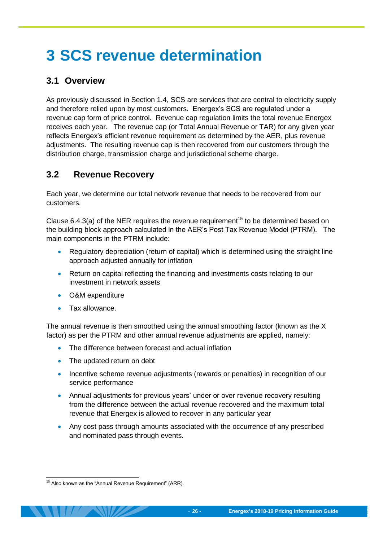# <span id="page-29-0"></span>**3 SCS revenue determination**

# <span id="page-29-1"></span>**3.1 Overview**

As previously discussed in Section [1.4,](#page-8-0) SCS are services that are central to electricity supply and therefore relied upon by most customers. Energex's SCS are regulated under a revenue cap form of price control. Revenue cap regulation limits the total revenue Energex receives each year. The revenue cap (or Total Annual Revenue or TAR) for any given year reflects Energex's efficient revenue requirement as determined by the AER, plus revenue adjustments. The resulting revenue cap is then recovered from our customers through the distribution charge, transmission charge and jurisdictional scheme charge.

## <span id="page-29-2"></span>**3.2 Revenue Recovery**

Each year, we determine our total network revenue that needs to be recovered from our customers.

Clause 6.4.3(a) of the NER requires the revenue requirement<sup>15</sup> to be determined based on the building block approach calculated in the AER's Post Tax Revenue Model (PTRM). The main components in the PTRM include:

- Regulatory depreciation (return of capital) which is determined using the straight line approach adjusted annually for inflation
- Return on capital reflecting the financing and investments costs relating to our investment in network assets
- O&M expenditure
- Tax allowance.

The annual revenue is then smoothed using the annual smoothing factor (known as the X factor) as per the PTRM and other annual revenue adjustments are applied, namely:

- The difference between forecast and actual inflation
- The updated return on debt
- Incentive scheme revenue adjustments (rewards or penalties) in recognition of our service performance
- Annual adjustments for previous years' under or over revenue recovery resulting from the difference between the actual revenue recovered and the maximum total revenue that Energex is allowed to recover in any particular year
- Any cost pass through amounts associated with the occurrence of any prescribed and nominated pass through events.

<sup>-</sup><sup>15</sup> Also known as the "Annual Revenue Requirement" (ARR).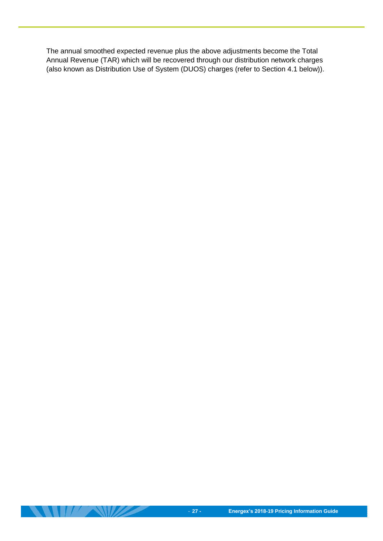The annual smoothed expected revenue plus the above adjustments become the Total Annual Revenue (TAR) which will be recovered through our distribution network charges (also known as Distribution Use of System (DUOS) charges (refer to Section [4.1](#page-31-1) below)).

 $\mathbf{U}$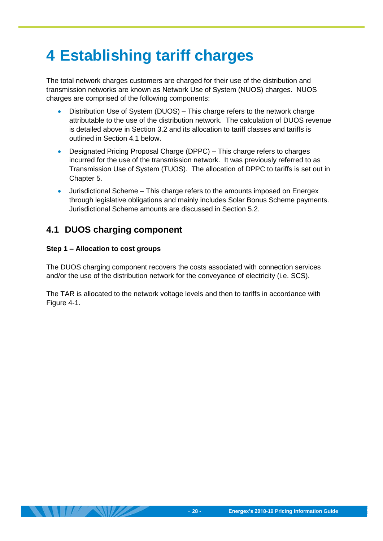# <span id="page-31-0"></span>**4 Establishing tariff charges**

The total network charges customers are charged for their use of the distribution and transmission networks are known as Network Use of System (NUOS) charges. NUOS charges are comprised of the following components:

- Distribution Use of System (DUOS) This charge refers to the network charge attributable to the use of the distribution network. The calculation of DUOS revenue is detailed above in Section [3.2](#page-29-2) and its allocation to tariff classes and tariffs is outlined in Section [4.1](#page-31-1) below.
- Designated Pricing Proposal Charge (DPPC) This charge refers to charges incurred for the use of the transmission network. It was previously referred to as Transmission Use of System (TUOS). The allocation of DPPC to tariffs is set out in Chapter [5.](#page-42-0)
- Jurisdictional Scheme This charge refers to the amounts imposed on Energex through legislative obligations and mainly includes Solar Bonus Scheme payments. Jurisdictional Scheme amounts are discussed in Section [5.2.](#page-43-3)

### <span id="page-31-1"></span>**4.1 DUOS charging component**

#### **Step 1 – Allocation to cost groups**

The DUOS charging component recovers the costs associated with connection services and/or the use of the distribution network for the conveyance of electricity (i.e. SCS).

The TAR is allocated to the network voltage levels and then to tariffs in accordance with [Figure 4-1.](#page-32-0)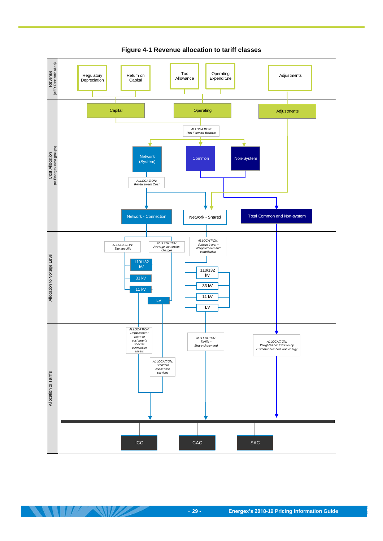<span id="page-32-0"></span>

**Figure 4-1 Revenue allocation to tariff classes**

 $\mathcal{L}$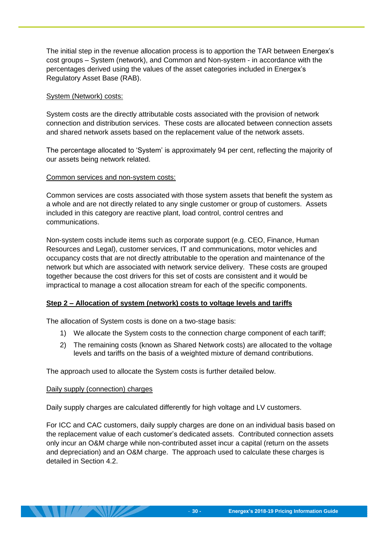The initial step in the revenue allocation process is to apportion the TAR between Energex's cost groups – System (network), and Common and Non-system - in accordance with the percentages derived using the values of the asset categories included in Energex's Regulatory Asset Base (RAB).

#### System (Network) costs:

System costs are the directly attributable costs associated with the provision of network connection and distribution services. These costs are allocated between connection assets and shared network assets based on the replacement value of the network assets.

The percentage allocated to 'System' is approximately 94 per cent, reflecting the majority of our assets being network related.

#### Common services and non-system costs:

Common services are costs associated with those system assets that benefit the system as a whole and are not directly related to any single customer or group of customers. Assets included in this category are reactive plant, load control, control centres and communications.

Non-system costs include items such as corporate support (e.g. CEO, Finance, Human Resources and Legal), customer services, IT and communications, motor vehicles and occupancy costs that are not directly attributable to the operation and maintenance of the network but which are associated with network service delivery. These costs are grouped together because the cost drivers for this set of costs are consistent and it would be impractical to manage a cost allocation stream for each of the specific components.

#### **Step 2 – Allocation of system (network) costs to voltage levels and tariffs**

The allocation of System costs is done on a two-stage basis:

- 1) We allocate the System costs to the connection charge component of each tariff;
- 2) The remaining costs (known as Shared Network costs) are allocated to the voltage levels and tariffs on the basis of a weighted mixture of demand contributions.

The approach used to allocate the System costs is further detailed below.

#### Daily supply (connection) charges

Daily supply charges are calculated differently for high voltage and LV customers.

For ICC and CAC customers, daily supply charges are done on an individual basis based on the replacement value of each customer's dedicated assets. Contributed connection assets only incur an O&M charge while non-contributed asset incur a capital (return on the assets and depreciation) and an O&M charge. The approach used to calculate these charges is detailed in Section [4.2.](#page-34-0)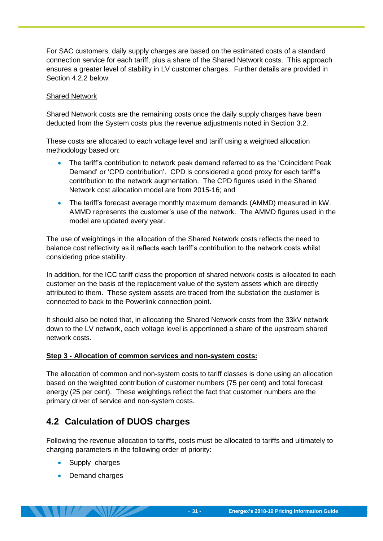For SAC customers, daily supply charges are based on the estimated costs of a standard connection service for each tariff, plus a share of the Shared Network costs. This approach ensures a greater level of stability in LV customer charges. Further details are provided in Section [4.2.2](#page-38-0) below.

#### Shared Network

Shared Network costs are the remaining costs once the daily supply charges have been deducted from the System costs plus the revenue adjustments noted in Section [3.2.](#page-29-2)

These costs are allocated to each voltage level and tariff using a weighted allocation methodology based on:

- The tariff's contribution to network peak demand referred to as the 'Coincident Peak Demand' or 'CPD contribution'. CPD is considered a good proxy for each tariff's contribution to the network augmentation. The CPD figures used in the Shared Network cost allocation model are from 2015-16; and
- The tariff's forecast average monthly maximum demands (AMMD) measured in kW. AMMD represents the customer's use of the network. The AMMD figures used in the model are updated every year.

The use of weightings in the allocation of the Shared Network costs reflects the need to balance cost reflectivity as it reflects each tariff's contribution to the network costs whilst considering price stability.

In addition, for the ICC tariff class the proportion of shared network costs is allocated to each customer on the basis of the replacement value of the system assets which are directly attributed to them. These system assets are traced from the substation the customer is connected to back to the Powerlink connection point.

It should also be noted that, in allocating the Shared Network costs from the 33kV network down to the LV network, each voltage level is apportioned a share of the upstream shared network costs.

#### **Step 3 - Allocation of common services and non-system costs:**

The allocation of common and non-system costs to tariff classes is done using an allocation based on the weighted contribution of customer numbers (75 per cent) and total forecast energy (25 per cent). These weightings reflect the fact that customer numbers are the primary driver of service and non-system costs.

### <span id="page-34-0"></span>**4.2 Calculation of DUOS charges**

Following the revenue allocation to tariffs, costs must be allocated to tariffs and ultimately to charging parameters in the following order of priority:

- Supply charges
- Demand charges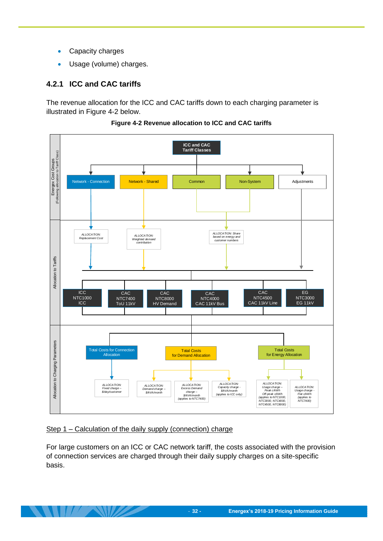- Capacity charges
- Usage (volume) charges.

#### <span id="page-35-0"></span>**4.2.1 ICC and CAC tariffs**

The revenue allocation for the ICC and CAC tariffs down to each charging parameter is illustrated in [Figure 4-2](#page-35-1) below.

<span id="page-35-1"></span>

**Figure 4-2 Revenue allocation to ICC and CAC tariffs**

#### Step 1 – Calculation of the daily supply (connection) charge

For large customers on an ICC or CAC network tariff, the costs associated with the provision of connection services are charged through their daily supply charges on a site-specific basis.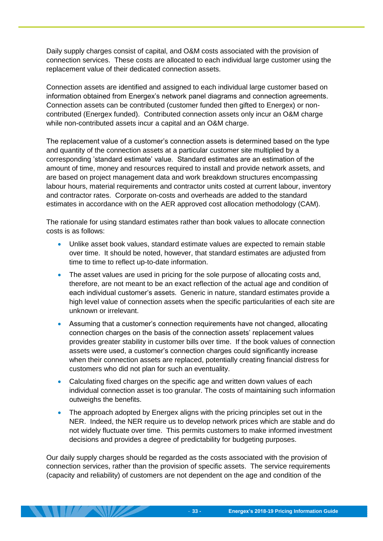Daily supply charges consist of capital, and O&M costs associated with the provision of connection services. These costs are allocated to each individual large customer using the replacement value of their dedicated connection assets.

Connection assets are identified and assigned to each individual large customer based on information obtained from Energex's network panel diagrams and connection agreements. Connection assets can be contributed (customer funded then gifted to Energex) or noncontributed (Energex funded). Contributed connection assets only incur an O&M charge while non-contributed assets incur a capital and an O&M charge.

The replacement value of a customer's connection assets is determined based on the type and quantity of the connection assets at a particular customer site multiplied by a corresponding 'standard estimate' value. Standard estimates are an estimation of the amount of time, money and resources required to install and provide network assets, and are based on project management data and work breakdown structures encompassing labour hours, material requirements and contractor units costed at current labour, inventory and contractor rates. Corporate on-costs and overheads are added to the standard estimates in accordance with on the AER approved cost allocation methodology (CAM).

The rationale for using standard estimates rather than book values to allocate connection costs is as follows:

- Unlike asset book values, standard estimate values are expected to remain stable over time. It should be noted, however, that standard estimates are adjusted from time to time to reflect up-to-date information.
- The asset values are used in pricing for the sole purpose of allocating costs and, therefore, are not meant to be an exact reflection of the actual age and condition of each individual customer's assets. Generic in nature, standard estimates provide a high level value of connection assets when the specific particularities of each site are unknown or irrelevant.
- Assuming that a customer's connection requirements have not changed, allocating connection charges on the basis of the connection assets' replacement values provides greater stability in customer bills over time. If the book values of connection assets were used, a customer's connection charges could significantly increase when their connection assets are replaced, potentially creating financial distress for customers who did not plan for such an eventuality.
- Calculating fixed charges on the specific age and written down values of each individual connection asset is too granular. The costs of maintaining such information outweighs the benefits.
- The approach adopted by Energex aligns with the pricing principles set out in the NER. Indeed, the NER require us to develop network prices which are stable and do not widely fluctuate over time. This permits customers to make informed investment decisions and provides a degree of predictability for budgeting purposes.

Our daily supply charges should be regarded as the costs associated with the provision of connection services, rather than the provision of specific assets. The service requirements (capacity and reliability) of customers are not dependent on the age and condition of the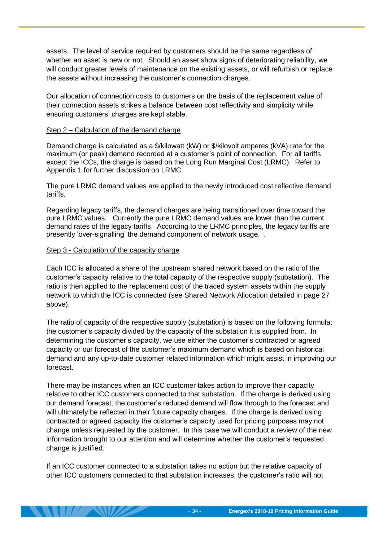assets. The level of service required by customers should be the same regardless of whether an asset is new or not. Should an asset show signs of deteriorating reliability, we will conduct greater levels of maintenance on the existing assets, or will refurbish or replace the assets without increasing the customer's connection charges.

Our allocation of connection costs to customers on the basis of the replacement value of their connection assets strikes a balance between cost reflectivity and simplicity while ensuring customers' charges are kept stable.

#### Step 2 – Calculation of the demand charge

Demand charge is calculated as a \$/kilowatt (kW) or \$/kilovolt amperes (kVA) rate for the maximum (or peak) demand recorded at a customer's point of connection. For all tariffs except the ICCs, the charge is based on the Long Run Marginal Cost (LRMC). Refer to Appendix 1 for further discussion on LRMC.

The pure LRMC demand values are applied to the newly introduced cost reflective demand tariffs.

Regarding legacy tariffs, the demand charges are being transitioned over time toward the pure LRMC values. Currently the pure LRMC demand values are lower than the current demand rates of the legacy tariffs. According to the LRMC principles, the legacy tariffs are presently 'over-signalling' the demand component of network usage. .

#### Step 3 - Calculation of the capacity charge

Each ICC is allocated a share of the upstream shared network based on the ratio of the customer's capacity relative to the total capacity of the respective supply (substation). The ratio is then applied to the replacement cost of the traced system assets within the supply network to which the ICC is connected (see Shared Network Allocation detailed in page 27 above).

The ratio of capacity of the respective supply (substation) is based on the following formula: the customer's capacity divided by the capacity of the substation it is supplied from. In determining the customer's capacity, we use either the customer's contracted or agreed capacity or our forecast of the customer's maximum demand which is based on historical demand and any up-to-date customer related information which might assist in improving our forecast.

There may be instances when an ICC customer takes action to improve their capacity relative to other ICC customers connected to that substation. If the charge is derived using our demand forecast, the customer's reduced demand will flow through to the forecast and will ultimately be reflected in their future capacity charges. If the charge is derived using contracted or agreed capacity the customer's capacity used for pricing purposes may not change unless requested by the customer. In this case we will conduct a review of the new information brought to our attention and will determine whether the customer's requested change is justified.

If an ICC customer connected to a substation takes no action but the relative capacity of other ICC customers connected to that substation increases, the customer's ratio will not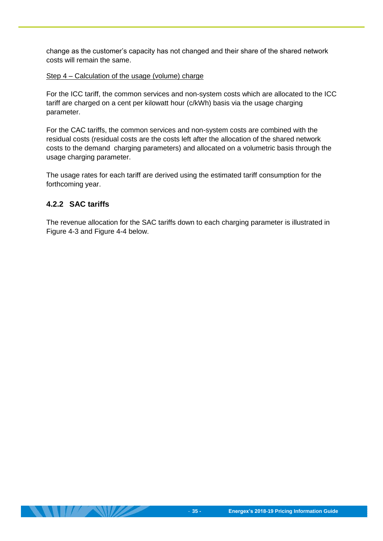change as the customer's capacity has not changed and their share of the shared network costs will remain the same.

#### Step 4 – Calculation of the usage (volume) charge

For the ICC tariff, the common services and non-system costs which are allocated to the ICC tariff are charged on a cent per kilowatt hour (c/kWh) basis via the usage charging parameter.

For the CAC tariffs, the common services and non-system costs are combined with the residual costs (residual costs are the costs left after the allocation of the shared network costs to the demand charging parameters) and allocated on a volumetric basis through the usage charging parameter.

The usage rates for each tariff are derived using the estimated tariff consumption for the forthcoming year.

#### <span id="page-38-0"></span>**4.2.2 SAC tariffs**

The revenue allocation for the SAC tariffs down to each charging parameter is illustrated in [Figure 4-3](#page-39-0) and [Figure 4-4](#page-40-0) below.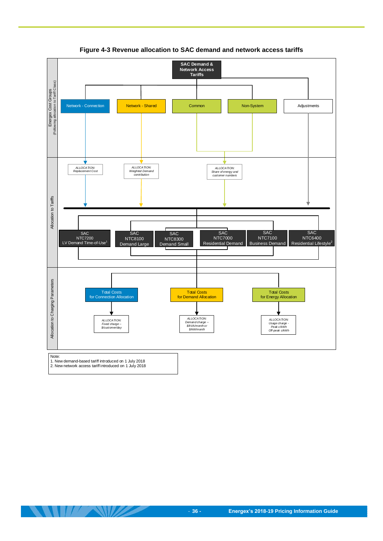<span id="page-39-0"></span>

**Figure 4-3 Revenue allocation to SAC demand and network access tariffs**

 $\mathcal{L}$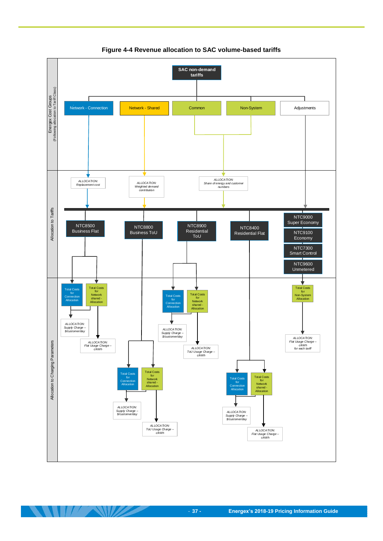<span id="page-40-0"></span>

**Figure 4-4 Revenue allocation to SAC volume-based tariffs**

**ANTISANTA COMPANY**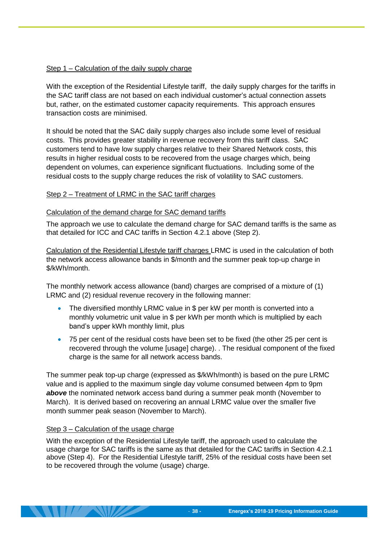#### Step 1 – Calculation of the daily supply charge

With the exception of the Residential Lifestyle tariff, the daily supply charges for the tariffs in the SAC tariff class are not based on each individual customer's actual connection assets but, rather, on the estimated customer capacity requirements. This approach ensures transaction costs are minimised.

It should be noted that the SAC daily supply charges also include some level of residual costs. This provides greater stability in revenue recovery from this tariff class. SAC customers tend to have low supply charges relative to their Shared Network costs, this results in higher residual costs to be recovered from the usage charges which, being dependent on volumes, can experience significant fluctuations. Including some of the residual costs to the supply charge reduces the risk of volatility to SAC customers.

#### Step 2 – Treatment of LRMC in the SAC tariff charges

#### Calculation of the demand charge for SAC demand tariffs

The approach we use to calculate the demand charge for SAC demand tariffs is the same as that detailed for ICC and CAC tariffs in Section [4.2.1](#page-35-0) above (Step 2).

Calculation of the Residential Lifestyle tariff charges LRMC is used in the calculation of both the network access allowance bands in \$/month and the summer peak top-up charge in \$/kWh/month.

The monthly network access allowance (band) charges are comprised of a mixture of (1) LRMC and (2) residual revenue recovery in the following manner:

- The diversified monthly LRMC value in \$ per kW per month is converted into a monthly volumetric unit value in \$ per kWh per month which is multiplied by each band's upper kWh monthly limit, plus
- 75 per cent of the residual costs have been set to be fixed (the other 25 per cent is recovered through the volume [usage] charge). . The residual component of the fixed charge is the same for all network access bands.

The summer peak top-up charge (expressed as \$/kWh/month) is based on the pure LRMC value and is applied to the maximum single day volume consumed between 4pm to 9pm *above* the nominated network access band during a summer peak month (November to March). It is derived based on recovering an annual LRMC value over the smaller five month summer peak season (November to March).

#### Step 3 – Calculation of the usage charge

With the exception of the Residential Lifestyle tariff, the approach used to calculate the usage charge for SAC tariffs is the same as that detailed for the CAC tariffs in Section [4.2.1](#page-35-0) above (Step 4). For the Residential Lifestyle tariff, 25% of the residual costs have been set to be recovered through the volume (usage) charge.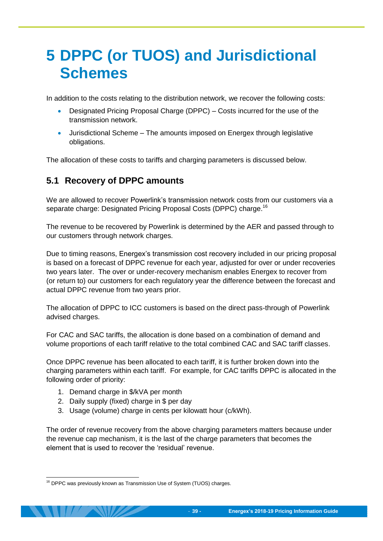# <span id="page-42-0"></span>**5 DPPC (or TUOS) and Jurisdictional Schemes**

In addition to the costs relating to the distribution network, we recover the following costs:

- Designated Pricing Proposal Charge (DPPC) Costs incurred for the use of the transmission network.
- Jurisdictional Scheme The amounts imposed on Energex through legislative obligations.

The allocation of these costs to tariffs and charging parameters is discussed below.

### <span id="page-42-1"></span>**5.1 Recovery of DPPC amounts**

We are allowed to recover Powerlink's transmission network costs from our customers via a separate charge: Designated Pricing Proposal Costs (DPPC) charge.<sup>16</sup>

The revenue to be recovered by Powerlink is determined by the AER and passed through to our customers through network charges.

Due to timing reasons, Energex's transmission cost recovery included in our pricing proposal is based on a forecast of DPPC revenue for each year, adjusted for over or under recoveries two years later. The over or under-recovery mechanism enables Energex to recover from (or return to) our customers for each regulatory year the difference between the forecast and actual DPPC revenue from two years prior.

The allocation of DPPC to ICC customers is based on the direct pass-through of Powerlink advised charges.

For CAC and SAC tariffs, the allocation is done based on a combination of demand and volume proportions of each tariff relative to the total combined CAC and SAC tariff classes.

Once DPPC revenue has been allocated to each tariff, it is further broken down into the charging parameters within each tariff. For example, for CAC tariffs DPPC is allocated in the following order of priority:

- 1. Demand charge in \$/kVA per month
- 2. Daily supply (fixed) charge in \$ per day
- 3. Usage (volume) charge in cents per kilowatt hour (c/kWh).

The order of revenue recovery from the above charging parameters matters because under the revenue cap mechanism, it is the last of the charge parameters that becomes the element that is used to recover the 'residual' revenue.

<sup>-</sup><sup>16</sup> DPPC was previously known as Transmission Use of System (TUOS) charges.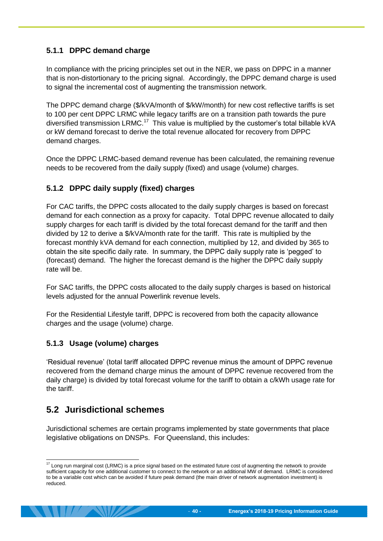#### <span id="page-43-0"></span>**5.1.1 DPPC demand charge**

In compliance with the pricing principles set out in the NER, we pass on DPPC in a manner that is non-distortionary to the pricing signal. Accordingly, the DPPC demand charge is used to signal the incremental cost of augmenting the transmission network.

The DPPC demand charge (\$/kVA/month of \$/kW/month) for new cost reflective tariffs is set to 100 per cent DPPC LRMC while legacy tariffs are on a transition path towards the pure diversified transmission LRMC.<sup>17</sup> This value is multiplied by the customer's total billable kVA or kW demand forecast to derive the total revenue allocated for recovery from DPPC demand charges.

Once the DPPC LRMC-based demand revenue has been calculated, the remaining revenue needs to be recovered from the daily supply (fixed) and usage (volume) charges.

#### <span id="page-43-1"></span>**5.1.2 DPPC daily supply (fixed) charges**

For CAC tariffs, the DPPC costs allocated to the daily supply charges is based on forecast demand for each connection as a proxy for capacity. Total DPPC revenue allocated to daily supply charges for each tariff is divided by the total forecast demand for the tariff and then divided by 12 to derive a \$/kVA/month rate for the tariff. This rate is multiplied by the forecast monthly kVA demand for each connection, multiplied by 12, and divided by 365 to obtain the site specific daily rate. In summary, the DPPC daily supply rate is 'pegged' to (forecast) demand. The higher the forecast demand is the higher the DPPC daily supply rate will be.

For SAC tariffs, the DPPC costs allocated to the daily supply charges is based on historical levels adjusted for the annual Powerlink revenue levels.

For the Residential Lifestyle tariff, DPPC is recovered from both the capacity allowance charges and the usage (volume) charge.

#### <span id="page-43-2"></span>**5.1.3 Usage (volume) charges**

'Residual revenue' (total tariff allocated DPPC revenue minus the amount of DPPC revenue recovered from the demand charge minus the amount of DPPC revenue recovered from the daily charge) is divided by total forecast volume for the tariff to obtain a c/kWh usage rate for the tariff.

## <span id="page-43-3"></span>**5.2 Jurisdictional schemes**

Jurisdictional schemes are certain programs implemented by state governments that place legislative obligations on DNSPs. For Queensland, this includes:

<sup>-</sup> $17$  Long run marginal cost (LRMC) is a price signal based on the estimated future cost of augmenting the network to provide sufficient capacity for one additional customer to connect to the network or an additional MW of demand. LRMC is considered to be a variable cost which can be avoided if future peak demand (the main driver of network augmentation investment) is reduced.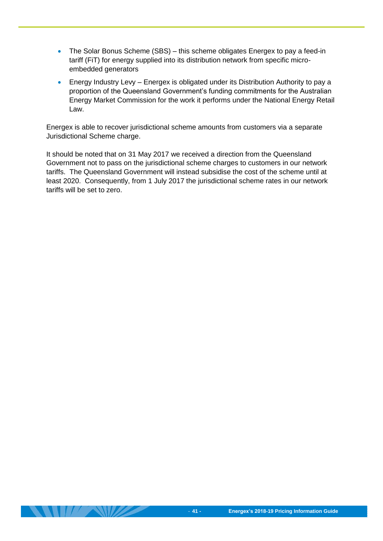- The Solar Bonus Scheme (SBS) this scheme obligates Energex to pay a feed-in tariff (FiT) for energy supplied into its distribution network from specific microembedded generators
- Energy Industry Levy Energex is obligated under its Distribution Authority to pay a proportion of the Queensland Government's funding commitments for the Australian Energy Market Commission for the work it performs under the National Energy Retail Law.

Energex is able to recover jurisdictional scheme amounts from customers via a separate Jurisdictional Scheme charge.

It should be noted that on 31 May 2017 we received a direction from the Queensland Government not to pass on the jurisdictional scheme charges to customers in our network tariffs. The Queensland Government will instead subsidise the cost of the scheme until at least 2020. Consequently, from 1 July 2017 the jurisdictional scheme rates in our network tariffs will be set to zero.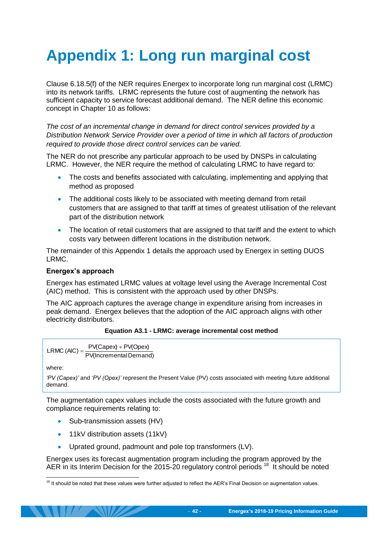# <span id="page-45-0"></span>**Appendix 1: Long run marginal cost**

Clause 6.18.5(f) of the NER requires Energex to incorporate long run marginal cost (LRMC) into its network tariffs. LRMC represents the future cost of augmenting the network has sufficient capacity to service forecast additional demand. The NER define this economic concept in Chapter 10 as follows:

*The cost of an incremental change in demand for direct control services provided by a Distribution Network Service Provider over a period of time in which all factors of production required to provide those direct control services can be varied.* 

The NER do not prescribe any particular approach to be used by DNSPs in calculating LRMC. However, the NER require the method of calculating LRMC to have regard to:

- The costs and benefits associated with calculating, implementing and applying that method as proposed
- The additional costs likely to be associated with meeting demand from retail customers that are assigned to that tariff at times of greatest utilisation of the relevant part of the distribution network
- The location of retail customers that are assigned to that tariff and the extent to which costs vary between different locations in the distribution network.

The remainder of this Appendix 1 details the approach used by Energex in setting DUOS LRMC.

#### **Energex's approach**

Energex has estimated LRMC values at voltage level using the Average Incremental Cost (AIC) method. This is consistent with the approach used by other DNSPs.

The AIC approach captures the average change in expenditure arising from increases in peak demand. Energex believes that the adoption of the AIC approach aligns with other electricity distributors.

#### **Equation A3.1 - LRMC: average incremental cost method**

```
PV(IncrementalDemand)
             PV(Capex) + PV(Opex)LRMC (AIC) =
```
where:

```
'PV (Capex)' and 'PV (Opex)' represent the Present Value (PV) costs associated with meeting future additional
demand.
```
The augmentation capex values include the costs associated with the future growth and compliance requirements relating to:

- Sub-transmission assets (HV)
- 11kV distribution assets (11kV)
- Uprated ground, padmount and pole top transformers (LV).

Energex uses its forecast augmentation program including the program approved by the AER in its Interim Decision for the 2015-20 regulatory control periods<sup>18</sup> It should be noted

<sup>-</sup> $18$  It should be noted that these values were further adjusted to reflect the AER's Final Decision on augmentation values.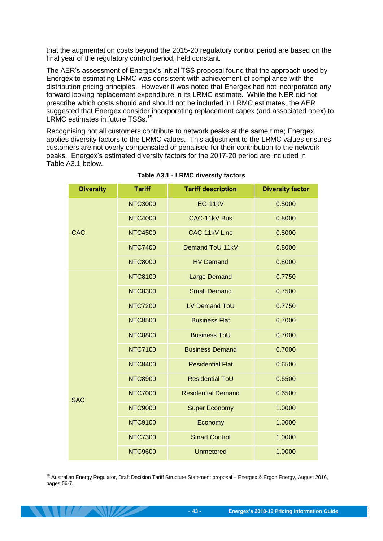that the augmentation costs beyond the 2015-20 regulatory control period are based on the final year of the regulatory control period, held constant.

The AER's assessment of Energex's initial TSS proposal found that the approach used by Energex to estimating LRMC was consistent with achievement of compliance with the distribution pricing principles. However it was noted that Energex had not incorporated any forward looking replacement expenditure in its LRMC estimate. While the NER did not prescribe which costs should and should not be included in LRMC estimates, the AER suggested that Energex consider incorporating replacement capex (and associated opex) to LRMC estimates in future TSSs.<sup>19</sup>

Recognising not all customers contribute to network peaks at the same time; Energex applies diversity factors to the LRMC values. This adjustment to the LRMC values ensures customers are not overly compensated or penalised for their contribution to the network peaks. Energex's estimated diversity factors for the 2017-20 period are included in Table A3.1 below.

| <b>Diversity</b> | <b>Tariff</b>  | <b>Tariff description</b> | <b>Diversity factor</b> |
|------------------|----------------|---------------------------|-------------------------|
|                  | <b>NTC3000</b> | <b>EG-11kV</b>            | 0.8000                  |
|                  | <b>NTC4000</b> | CAC-11kV Bus              | 0.8000                  |
| <b>CAC</b>       | <b>NTC4500</b> | CAC-11kV Line             | 0.8000                  |
|                  | <b>NTC7400</b> | Demand ToU 11kV           | 0.8000                  |
|                  | <b>NTC8000</b> | <b>HV Demand</b>          | 0.8000                  |
|                  | <b>NTC8100</b> | <b>Large Demand</b>       | 0.7750                  |
|                  | <b>NTC8300</b> | <b>Small Demand</b>       | 0.7500                  |
|                  | <b>NTC7200</b> | LV Demand ToU             | 0.7750                  |
|                  | <b>NTC8500</b> | <b>Business Flat</b>      | 0.7000                  |
|                  | <b>NTC8800</b> | <b>Business ToU</b>       | 0.7000                  |
|                  | <b>NTC7100</b> | <b>Business Demand</b>    | 0.7000                  |
|                  | <b>NTC8400</b> | <b>Residential Flat</b>   | 0.6500                  |
|                  | <b>NTC8900</b> | <b>Residential ToU</b>    | 0.6500                  |
| <b>SAC</b>       | <b>NTC7000</b> | <b>Residential Demand</b> | 0.6500                  |
|                  | <b>NTC9000</b> | <b>Super Economy</b>      | 1.0000                  |
|                  | <b>NTC9100</b> | Economy                   | 1.0000                  |
|                  | <b>NTC7300</b> | <b>Smart Control</b>      | 1.0000                  |
|                  | <b>NTC9600</b> | <b>Unmetered</b>          | 1.0000                  |

#### **Table A3.1 - LRMC diversity factors**

-<sup>19</sup> Australian Energy Regulator, Draft Decision Tariff Structure Statement proposal – Energex & Ergon Energy, August 2016, pages 56-7.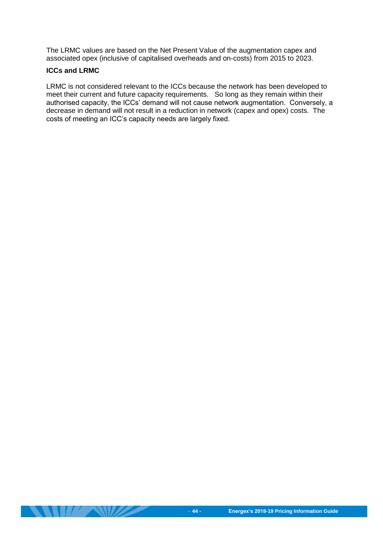The LRMC values are based on the Net Present Value of the augmentation capex and associated opex (inclusive of capitalised overheads and on-costs) from 2015 to 2023.

#### **ICCs and LRMC**

LRMC is not considered relevant to the ICCs because the network has been developed to meet their current and future capacity requirements. So long as they remain within their authorised capacity, the ICCs' demand will not cause network augmentation. Conversely, a decrease in demand will not result in a reduction in network (capex and opex) costs. The costs of meeting an ICC's capacity needs are largely fixed.

**THE SHIPPERSON REPORTS**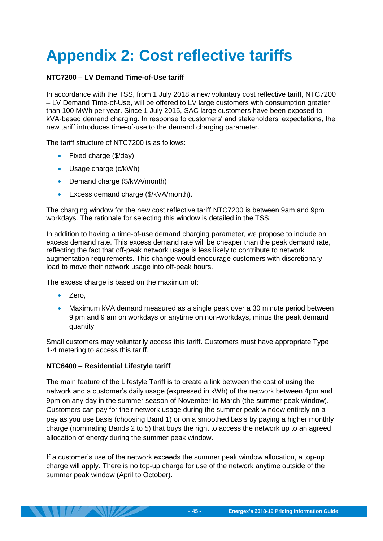# <span id="page-48-0"></span>**Appendix 2: Cost reflective tariffs**

#### **NTC7200 – LV Demand Time-of-Use tariff**

In accordance with the TSS, from 1 July 2018 a new voluntary cost reflective tariff, NTC7200 – LV Demand Time-of-Use, will be offered to LV large customers with consumption greater than 100 MWh per year. Since 1 July 2015, SAC large customers have been exposed to kVA-based demand charging. In response to customers' and stakeholders' expectations, the new tariff introduces time-of-use to the demand charging parameter.

The tariff structure of NTC7200 is as follows:

- Fixed charge (\$/day)
- Usage charge (c/kWh)
- Demand charge (\$/kVA/month)
- **Excess demand charge (\$/kVA/month).**

The charging window for the new cost reflective tariff NTC7200 is between 9am and 9pm workdays. The rationale for selecting this window is detailed in the TSS.

In addition to having a time-of-use demand charging parameter, we propose to include an excess demand rate. This excess demand rate will be cheaper than the peak demand rate, reflecting the fact that off-peak network usage is less likely to contribute to network augmentation requirements. This change would encourage customers with discretionary load to move their network usage into off-peak hours.

The excess charge is based on the maximum of:

- Zero,
- Maximum kVA demand measured as a single peak over a 30 minute period between 9 pm and 9 am on workdays or anytime on non-workdays, minus the peak demand quantity.

Small customers may voluntarily access this tariff. Customers must have appropriate Type 1-4 metering to access this tariff.

#### **NTC6400 – Residential Lifestyle tariff**

The main feature of the Lifestyle Tariff is to create a link between the cost of using the network and a customer's daily usage (expressed in kWh) of the network between 4pm and 9pm on any day in the summer season of November to March (the summer peak window). Customers can pay for their network usage during the summer peak window entirely on a pay as you use basis (choosing Band 1) or on a smoothed basis by paying a higher monthly charge (nominating Bands 2 to 5) that buys the right to access the network up to an agreed allocation of energy during the summer peak window.

If a customer's use of the network exceeds the summer peak window allocation, a top-up charge will apply. There is no top-up charge for use of the network anytime outside of the summer peak window (April to October).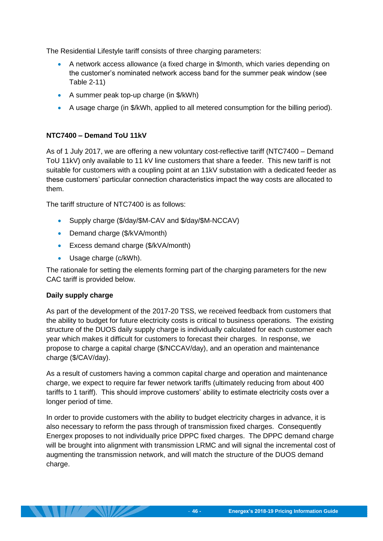The Residential Lifestyle tariff consists of three charging parameters:

- A network access allowance (a fixed charge in \$/month, which varies depending on the customer's nominated network access band for the summer peak window (see [Table 2-11\)](#page-26-1)
- A summer peak top-up charge (in \$/kWh)
- A usage charge (in \$/kWh, applied to all metered consumption for the billing period).

#### **NTC7400 – Demand ToU 11kV**

As of 1 July 2017, we are offering a new voluntary cost-reflective tariff (NTC7400 – Demand ToU 11kV) only available to 11 kV line customers that share a feeder. This new tariff is not suitable for customers with a coupling point at an 11kV substation with a dedicated feeder as these customers' particular connection characteristics impact the way costs are allocated to them.

The tariff structure of NTC7400 is as follows:

- Supply charge (\$/day/\$M-CAV and \$/day/\$M-NCCAV)
- Demand charge (\$/kVA/month)
- Excess demand charge (\$/kVA/month)
- Usage charge (c/kWh).

The rationale for setting the elements forming part of the charging parameters for the new CAC tariff is provided below.

#### **Daily supply charge**

As part of the development of the 2017-20 TSS, we received feedback from customers that the ability to budget for future electricity costs is critical to business operations. The existing structure of the DUOS daily supply charge is individually calculated for each customer each year which makes it difficult for customers to forecast their charges. In response, we propose to charge a capital charge (\$/NCCAV/day), and an operation and maintenance charge (\$/CAV/day).

As a result of customers having a common capital charge and operation and maintenance charge, we expect to require far fewer network tariffs (ultimately reducing from about 400 tariffs to 1 tariff). This should improve customers' ability to estimate electricity costs over a longer period of time.

In order to provide customers with the ability to budget electricity charges in advance, it is also necessary to reform the pass through of transmission fixed charges. Consequently Energex proposes to not individually price DPPC fixed charges. The DPPC demand charge will be brought into alignment with transmission LRMC and will signal the incremental cost of augmenting the transmission network, and will match the structure of the DUOS demand charge.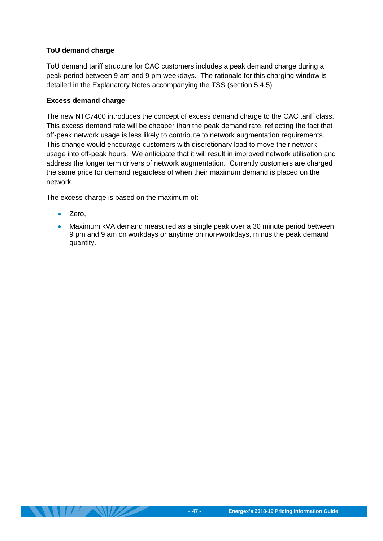#### **ToU demand charge**

ToU demand tariff structure for CAC customers includes a peak demand charge during a peak period between 9 am and 9 pm weekdays. The rationale for this charging window is detailed in the Explanatory Notes accompanying the TSS (section 5.4.5).

#### **Excess demand charge**

The new NTC7400 introduces the concept of excess demand charge to the CAC tariff class. This excess demand rate will be cheaper than the peak demand rate, reflecting the fact that off-peak network usage is less likely to contribute to network augmentation requirements. This change would encourage customers with discretionary load to move their network usage into off-peak hours. We anticipate that it will result in improved network utilisation and address the longer term drivers of network augmentation. Currently customers are charged the same price for demand regardless of when their maximum demand is placed on the network.

The excess charge is based on the maximum of:

- Zero,
- Maximum kVA demand measured as a single peak over a 30 minute period between 9 pm and 9 am on workdays or anytime on non-workdays, minus the peak demand quantity.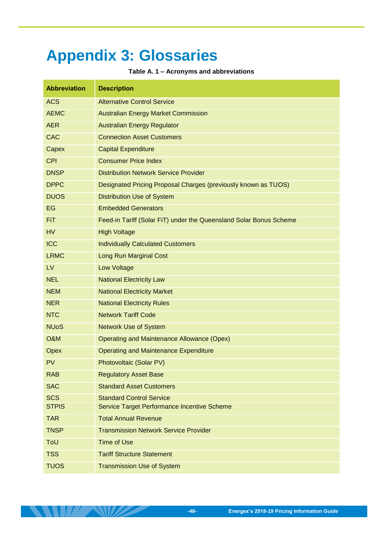# <span id="page-51-0"></span>**Appendix 3: Glossaries**

**Table A. 1 – Acronyms and abbreviations**

| <b>Abbreviation</b> | <b>Description</b>                                                 |
|---------------------|--------------------------------------------------------------------|
| <b>ACS</b>          | <b>Alternative Control Service</b>                                 |
| <b>AEMC</b>         | <b>Australian Energy Market Commission</b>                         |
| <b>AER</b>          | <b>Australian Energy Regulator</b>                                 |
| <b>CAC</b>          | <b>Connection Asset Customers</b>                                  |
| Capex               | <b>Capital Expenditure</b>                                         |
| <b>CPI</b>          | <b>Consumer Price Index</b>                                        |
| <b>DNSP</b>         | <b>Distribution Network Service Provider</b>                       |
| <b>DPPC</b>         | Designated Pricing Proposal Charges (previously known as TUOS)     |
| <b>DUOS</b>         | <b>Distribution Use of System</b>                                  |
| EG                  | <b>Embedded Generators</b>                                         |
| <b>FiT</b>          | Feed-in Tariff (Solar FiT) under the Queensland Solar Bonus Scheme |
| <b>HV</b>           | <b>High Voltage</b>                                                |
| <b>ICC</b>          | <b>Individually Calculated Customers</b>                           |
| <b>LRMC</b>         | <b>Long Run Marginal Cost</b>                                      |
| LV                  | <b>Low Voltage</b>                                                 |
| <b>NEL</b>          | <b>National Electricity Law</b>                                    |
| <b>NEM</b>          | <b>National Electricity Market</b>                                 |
| <b>NER</b>          | <b>National Electricity Rules</b>                                  |
| <b>NTC</b>          | <b>Network Tariff Code</b>                                         |
| <b>NUoS</b>         | <b>Network Use of System</b>                                       |
| <b>O&amp;M</b>      | <b>Operating and Maintenance Allowance (Opex)</b>                  |
| Opex                | <b>Operating and Maintenance Expenditure</b>                       |
| PV                  | Photovoltaic (Solar PV)                                            |
| <b>RAB</b>          | <b>Regulatory Asset Base</b>                                       |
| <b>SAC</b>          | <b>Standard Asset Customers</b>                                    |
| <b>SCS</b>          | <b>Standard Control Service</b>                                    |
| <b>STPIS</b>        | Service Target Performance Incentive Scheme                        |
| <b>TAR</b>          | <b>Total Annual Revenue</b>                                        |
| <b>TNSP</b>         | <b>Transmission Network Service Provider</b>                       |
| ToU                 | <b>Time of Use</b>                                                 |
| <b>TSS</b>          | <b>Tariff Structure Statement</b>                                  |
| <b>TUOS</b>         | <b>Transmission Use of System</b>                                  |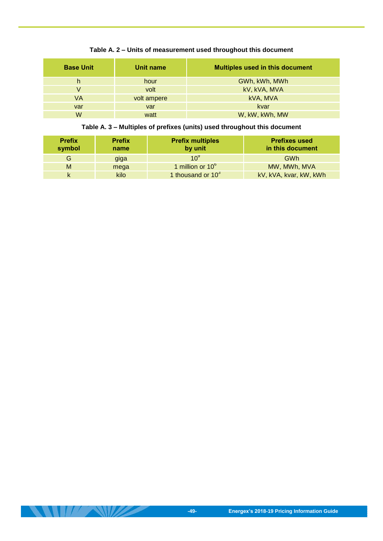| <b>Base Unit</b> | Unit name   | <b>Multiples used in this document</b> |
|------------------|-------------|----------------------------------------|
| h                | hour        | GWh, kWh, MWh                          |
| V                | volt        | kV, kVA, MVA                           |
| VA               | volt ampere | kVA, MVA                               |
| var              | var         | kvar                                   |
| w                | watt        | W, kW, kWh, MW                         |

#### **Table A. 2 – Units of measurement used throughout this document**

#### **Table A. 3 – Multiples of prefixes (units) used throughout this document**

| <b>Prefix</b><br>symbol | <b>Prefix</b><br>name | <b>Prefix multiples</b><br>by unit | <b>Prefixes used</b><br>in this document |
|-------------------------|-----------------------|------------------------------------|------------------------------------------|
| G                       | giga                  | $10^9$                             | GWh                                      |
| M                       | mega                  | 1 million or $10^6$                | MW, MWh, MVA                             |
|                         | kilo                  | 1 thousand or $10^3$               | kV, kVA, kvar, kW, kWh                   |

 $\|H\| \leq \infty$ 

 $\mathbb{Z}$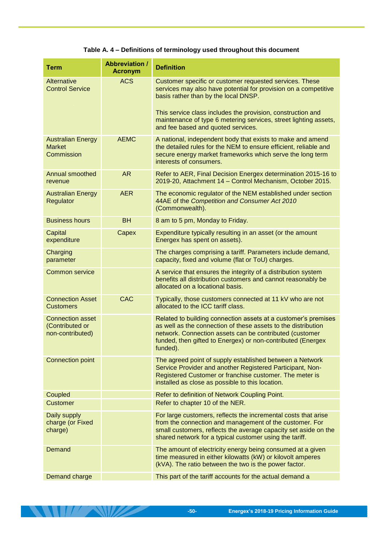| <b>Term</b>                                                    | <b>Abbreviation /</b><br><b>Acronym</b> | <b>Definition</b>                                                                                                                                                                                                                                                                                                                           |
|----------------------------------------------------------------|-----------------------------------------|---------------------------------------------------------------------------------------------------------------------------------------------------------------------------------------------------------------------------------------------------------------------------------------------------------------------------------------------|
| Alternative<br><b>Control Service</b>                          | <b>ACS</b>                              | Customer specific or customer requested services. These<br>services may also have potential for provision on a competitive<br>basis rather than by the local DNSP.<br>This service class includes the provision, construction and<br>maintenance of type 6 metering services, street lighting assets,<br>and fee based and quoted services. |
| <b>Australian Energy</b><br><b>Market</b><br>Commission        | <b>AEMC</b>                             | A national, independent body that exists to make and amend<br>the detailed rules for the NEM to ensure efficient, reliable and<br>secure energy market frameworks which serve the long term<br>interests of consumers.                                                                                                                      |
| <b>Annual smoothed</b><br>revenue                              | <b>AR</b>                               | Refer to AER, Final Decision Energex determination 2015-16 to<br>2019-20, Attachment 14 - Control Mechanism, October 2015.                                                                                                                                                                                                                  |
| <b>Australian Energy</b><br>Regulator                          | <b>AER</b>                              | The economic regulator of the NEM established under section<br>44AE of the Competition and Consumer Act 2010<br>(Commonwealth).                                                                                                                                                                                                             |
| <b>Business hours</b>                                          | <b>BH</b>                               | 8 am to 5 pm, Monday to Friday.                                                                                                                                                                                                                                                                                                             |
| Capital<br>expenditure                                         | Capex                                   | Expenditure typically resulting in an asset (or the amount<br>Energex has spent on assets).                                                                                                                                                                                                                                                 |
| Charging<br>parameter                                          |                                         | The charges comprising a tariff. Parameters include demand,<br>capacity, fixed and volume (flat or ToU) charges.                                                                                                                                                                                                                            |
| <b>Common service</b>                                          |                                         | A service that ensures the integrity of a distribution system<br>benefits all distribution customers and cannot reasonably be<br>allocated on a locational basis.                                                                                                                                                                           |
| <b>Connection Asset</b><br><b>Customers</b>                    | <b>CAC</b>                              | Typically, those customers connected at 11 kV who are not<br>allocated to the ICC tariff class.                                                                                                                                                                                                                                             |
| <b>Connection asset</b><br>(Contributed or<br>non-contributed) |                                         | Related to building connection assets at a customer's premises<br>as well as the connection of these assets to the distribution<br>network. Connection assets can be contributed (customer<br>funded, then gifted to Energex) or non-contributed (Energex<br>funded).                                                                       |
| <b>Connection point</b>                                        |                                         | The agreed point of supply established between a Network<br>Service Provider and another Registered Participant, Non-<br>Registered Customer or franchise customer. The meter is<br>installed as close as possible to this location.                                                                                                        |
| Coupled                                                        |                                         | Refer to definition of Network Coupling Point.                                                                                                                                                                                                                                                                                              |
| <b>Customer</b>                                                |                                         | Refer to chapter 10 of the NER.                                                                                                                                                                                                                                                                                                             |
| Daily supply<br>charge (or Fixed<br>charge)                    |                                         | For large customers, reflects the incremental costs that arise<br>from the connection and management of the customer. For<br>small customers, reflects the average capacity set aside on the<br>shared network for a typical customer using the tariff.                                                                                     |
| Demand                                                         |                                         | The amount of electricity energy being consumed at a given<br>time measured in either kilowatts (kW) or kilovolt amperes<br>(kVA). The ratio between the two is the power factor.                                                                                                                                                           |
| Demand charge                                                  |                                         | This part of the tariff accounts for the actual demand a                                                                                                                                                                                                                                                                                    |

#### **Table A. 4 – Definitions of terminology used throughout this document**

**ANTIFACTURE AND ANTIFACTURE**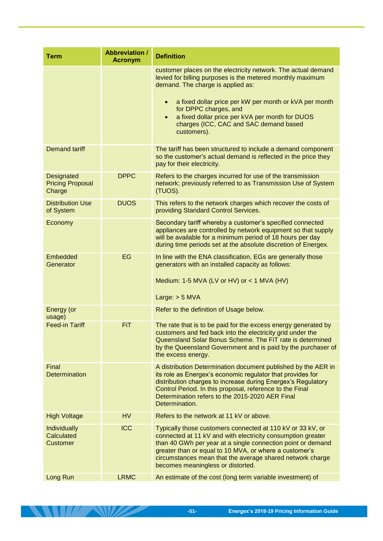| <b>Term</b>                                            | <b>Abbreviation /</b><br><b>Acronym</b> | <b>Definition</b>                                                                                                                                                                                                                                                                                                                                                                         |
|--------------------------------------------------------|-----------------------------------------|-------------------------------------------------------------------------------------------------------------------------------------------------------------------------------------------------------------------------------------------------------------------------------------------------------------------------------------------------------------------------------------------|
|                                                        |                                         | customer places on the electricity network. The actual demand<br>levied for billing purposes is the metered monthly maximum<br>demand. The charge is applied as:<br>a fixed dollar price per kW per month or kVA per month<br>$\bullet$<br>for DPPC charges, and<br>a fixed dollar price per kVA per month for DUOS<br>$\bullet$<br>charges (ICC, CAC and SAC demand based<br>customers). |
| <b>Demand tariff</b>                                   |                                         | The tariff has been structured to include a demand component<br>so the customer's actual demand is reflected in the price they<br>pay for their electricity.                                                                                                                                                                                                                              |
| <b>Designated</b><br><b>Pricing Proposal</b><br>Charge | <b>DPPC</b>                             | Refers to the charges incurred for use of the transmission<br>network; previously referred to as Transmission Use of System<br>(TUOS).                                                                                                                                                                                                                                                    |
| <b>Distribution Use</b><br>of System                   | <b>DUOS</b>                             | This refers to the network charges which recover the costs of<br>providing Standard Control Services.                                                                                                                                                                                                                                                                                     |
| Economy                                                |                                         | Secondary tariff whereby a customer's specified connected<br>appliances are controlled by network equipment so that supply<br>will be available for a minimum period of 18 hours per day<br>during time periods set at the absolute discretion of Energex.                                                                                                                                |
| Embedded<br>Generator                                  | EG                                      | In line with the ENA classification, EGs are generally those<br>generators with an installed capacity as follows:<br>Medium: 1-5 MVA (LV or HV) or $<$ 1 MVA (HV)<br>Large: $> 5$ MVA                                                                                                                                                                                                     |
| Energy (or<br>usage)                                   |                                         | Refer to the definition of Usage below.                                                                                                                                                                                                                                                                                                                                                   |
| <b>Feed-in Tariff</b>                                  | <b>FiT</b>                              | The rate that is to be paid for the excess energy generated by<br>customers and fed back into the electricity grid under the<br>Queensland Solar Bonus Scheme. The FiT rate is determined<br>by the Queensland Government and is paid by the purchaser of<br>the excess energy.                                                                                                           |
| Final<br><b>Determination</b>                          |                                         | A distribution Determination document published by the AER in<br>its role as Energex's economic regulator that provides for<br>distribution charges to increase during Energex's Regulatory<br>Control Period. In this proposal, reference to the Final<br>Determination refers to the 2015-2020 AER Final<br>Determination.                                                              |
| <b>High Voltage</b>                                    | <b>HV</b>                               | Refers to the network at 11 kV or above.                                                                                                                                                                                                                                                                                                                                                  |
| <b>Individually</b><br>Calculated<br><b>Customer</b>   | <b>ICC</b>                              | Typically those customers connected at 110 kV or 33 kV, or<br>connected at 11 kV and with electricity consumption greater<br>than 40 GWh per year at a single connection point or demand<br>greater than or equal to 10 MVA, or where a customer's<br>circumstances mean that the average shared network charge<br>becomes meaningless or distorted.                                      |
| Long Run                                               | <b>LRMC</b>                             | An estimate of the cost (long term variable investment) of                                                                                                                                                                                                                                                                                                                                |

**THE REAL PROPERTY**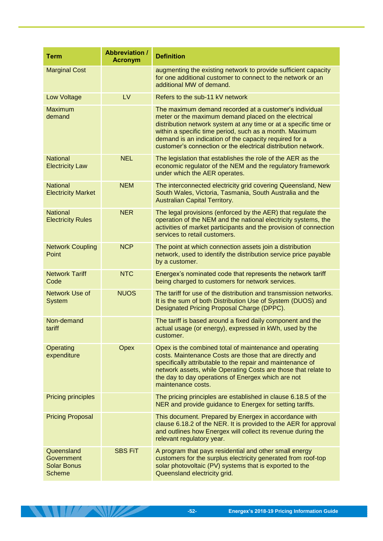| <b>Term</b>                                                     | <b>Abbreviation /</b><br><b>Acronym</b> | <b>Definition</b>                                                                                                                                                                                                                                                                                                                                                        |
|-----------------------------------------------------------------|-----------------------------------------|--------------------------------------------------------------------------------------------------------------------------------------------------------------------------------------------------------------------------------------------------------------------------------------------------------------------------------------------------------------------------|
| <b>Marginal Cost</b>                                            |                                         | augmenting the existing network to provide sufficient capacity<br>for one additional customer to connect to the network or an<br>additional MW of demand.                                                                                                                                                                                                                |
| Low Voltage                                                     | LV                                      | Refers to the sub-11 kV network                                                                                                                                                                                                                                                                                                                                          |
| <b>Maximum</b><br>demand                                        |                                         | The maximum demand recorded at a customer's individual<br>meter or the maximum demand placed on the electrical<br>distribution network system at any time or at a specific time or<br>within a specific time period, such as a month. Maximum<br>demand is an indication of the capacity required for a<br>customer's connection or the electrical distribution network. |
| <b>National</b><br><b>Electricity Law</b>                       | <b>NEL</b>                              | The legislation that establishes the role of the AER as the<br>economic regulator of the NEM and the regulatory framework<br>under which the AER operates.                                                                                                                                                                                                               |
| <b>National</b><br><b>Electricity Market</b>                    | <b>NEM</b>                              | The interconnected electricity grid covering Queensland, New<br>South Wales, Victoria, Tasmania, South Australia and the<br><b>Australian Capital Territory.</b>                                                                                                                                                                                                         |
| <b>National</b><br><b>Electricity Rules</b>                     | <b>NER</b>                              | The legal provisions (enforced by the AER) that regulate the<br>operation of the NEM and the national electricity systems, the<br>activities of market participants and the provision of connection<br>services to retail customers.                                                                                                                                     |
| <b>Network Coupling</b><br>Point                                | <b>NCP</b>                              | The point at which connection assets join a distribution<br>network, used to identify the distribution service price payable<br>by a customer.                                                                                                                                                                                                                           |
| <b>Network Tariff</b><br>Code                                   | <b>NTC</b>                              | Energex's nominated code that represents the network tariff<br>being charged to customers for network services.                                                                                                                                                                                                                                                          |
| Network Use of<br><b>System</b>                                 | <b>NUOS</b>                             | The tariff for use of the distribution and transmission networks.<br>It is the sum of both Distribution Use of System (DUOS) and<br>Designated Pricing Proposal Charge (DPPC).                                                                                                                                                                                           |
| Non-demand<br>tariff                                            |                                         | The tariff is based around a fixed daily component and the<br>actual usage (or energy), expressed in kWh, used by the<br>customer.                                                                                                                                                                                                                                       |
| Operating<br>expenditure                                        | Opex                                    | Opex is the combined total of maintenance and operating<br>costs. Maintenance Costs are those that are directly and<br>specifically attributable to the repair and maintenance of<br>network assets, while Operating Costs are those that relate to<br>the day to day operations of Energex which are not<br>maintenance costs.                                          |
| <b>Pricing principles</b>                                       |                                         | The pricing principles are established in clause 6.18.5 of the<br>NER and provide guidance to Energex for setting tariffs.                                                                                                                                                                                                                                               |
| <b>Pricing Proposal</b>                                         |                                         | This document. Prepared by Energex in accordance with<br>clause 6.18.2 of the NER. It is provided to the AER for approval<br>and outlines how Energex will collect its revenue during the<br>relevant regulatory year.                                                                                                                                                   |
| Queensland<br>Government<br><b>Solar Bonus</b><br><b>Scheme</b> | <b>SBS FIT</b>                          | A program that pays residential and other small energy<br>customers for the surplus electricity generated from roof-top<br>solar photovoltaic (PV) systems that is exported to the<br>Queensland electricity grid.                                                                                                                                                       |

**Except Andrew Program**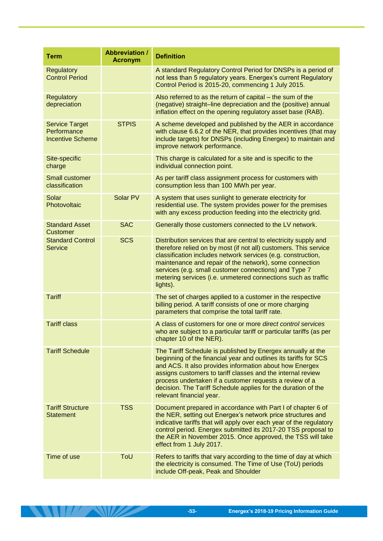| <b>Term</b>                                                     | <b>Abbreviation /</b><br><b>Acronym</b> | <b>Definition</b>                                                                                                                                                                                                                                                                                                                                                                                                 |
|-----------------------------------------------------------------|-----------------------------------------|-------------------------------------------------------------------------------------------------------------------------------------------------------------------------------------------------------------------------------------------------------------------------------------------------------------------------------------------------------------------------------------------------------------------|
| <b>Regulatory</b><br><b>Control Period</b>                      |                                         | A standard Regulatory Control Period for DNSPs is a period of<br>not less than 5 regulatory years. Energex's current Regulatory<br>Control Period is 2015-20, commencing 1 July 2015.                                                                                                                                                                                                                             |
| <b>Regulatory</b><br>depreciation                               |                                         | Also referred to as the return of capital – the sum of the<br>(negative) straight-line depreciation and the (positive) annual<br>inflation effect on the opening regulatory asset base (RAB).                                                                                                                                                                                                                     |
| <b>Service Target</b><br>Performance<br><b>Incentive Scheme</b> | <b>STPIS</b>                            | A scheme developed and published by the AER in accordance<br>with clause 6.6.2 of the NER, that provides incentives (that may<br>include targets) for DNSPs (including Energex) to maintain and<br>improve network performance.                                                                                                                                                                                   |
| Site-specific<br>charge                                         |                                         | This charge is calculated for a site and is specific to the<br>individual connection point.                                                                                                                                                                                                                                                                                                                       |
| <b>Small customer</b><br>classification                         |                                         | As per tariff class assignment process for customers with<br>consumption less than 100 MWh per year.                                                                                                                                                                                                                                                                                                              |
| Solar<br>Photovoltaic                                           | Solar PV                                | A system that uses sunlight to generate electricity for<br>residential use. The system provides power for the premises<br>with any excess production feeding into the electricity grid.                                                                                                                                                                                                                           |
| <b>Standard Asset</b><br><b>Customer</b>                        | <b>SAC</b>                              | Generally those customers connected to the LV network.                                                                                                                                                                                                                                                                                                                                                            |
| <b>Standard Control</b><br><b>Service</b>                       | <b>SCS</b>                              | Distribution services that are central to electricity supply and<br>therefore relied on by most (if not all) customers. This service<br>classification includes network services (e.g. construction,<br>maintenance and repair of the network), some connection<br>services (e.g. small customer connections) and Type 7<br>metering services (i.e. unmetered connections such as traffic<br>lights).             |
| <b>Tariff</b>                                                   |                                         | The set of charges applied to a customer in the respective<br>billing period. A tariff consists of one or more charging<br>parameters that comprise the total tariff rate.                                                                                                                                                                                                                                        |
| <b>Tariff class</b>                                             |                                         | A class of customers for one or more direct control services<br>who are subject to a particular tariff or particular tariffs (as per<br>chapter 10 of the NER).                                                                                                                                                                                                                                                   |
| <b>Tariff Schedule</b>                                          |                                         | The Tariff Schedule is published by Energex annually at the<br>beginning of the financial year and outlines its tariffs for SCS<br>and ACS. It also provides information about how Energex<br>assigns customers to tariff classes and the internal review<br>process undertaken if a customer requests a review of a<br>decision. The Tariff Schedule applies for the duration of the<br>relevant financial year. |
| <b>Tariff Structure</b><br><b>Statement</b>                     | <b>TSS</b>                              | Document prepared in accordance with Part I of chapter 6 of<br>the NER, setting out Energex's network price structures and<br>indicative tariffs that will apply over each year of the regulatory<br>control period. Energex submitted its 2017-20 TSS proposal to<br>the AER in November 2015. Once approved, the TSS will take<br>effect from 1 July 2017.                                                      |
| Time of use                                                     | ToU                                     | Refers to tariffs that vary according to the time of day at which<br>the electricity is consumed. The Time of Use (ToU) periods<br>include Off-peak, Peak and Shoulder                                                                                                                                                                                                                                            |

**THE REAL PROPERTY**